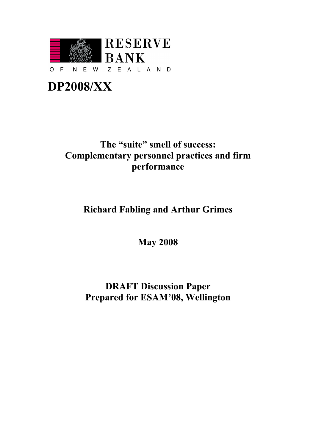

**DP2008/XX**

# **The "suite" smell of success: Complementary personnel practices and firm performance**

# **Richard Fabling and Arthur Grimes**

**May 2008**

# **DRAFT Discussion Paper Prepared for ESAM'08, Wellington**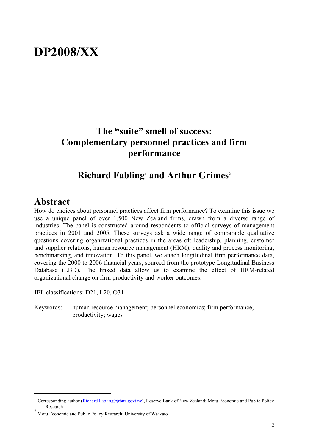# **DP2008/XX**

# **The "suite" smell of success: Complementary personnel practices and firm performance**

## **Richard Fabling<sup>1</sup> and Arthur Grimes 2**

### **Abstract**

 $\overline{a}$ 

How do choices about personnel practices affect firm performance? To examine this issue we use a unique panel of over 1,500 New Zealand firms, drawn from a diverse range of industries. The panel is constructed around respondents to official surveys of management practices in 2001 and 2005. These surveys ask a wide range of comparable qualitative questions covering organizational practices in the areas of: leadership, planning, customer and supplier relations, human resource management (HRM), quality and process monitoring, benchmarking, and innovation. To this panel, we attach longitudinal firm performance data, covering the 2000 to 2006 financial years, sourced from the prototype Longitudinal Business Database (LBD). The linked data allow us to examine the effect of HRM-related organizational change on firm productivity and worker outcomes.

JEL classifications: D21, L20, O31

Keywords: human resource management; personnel economics; firm performance; productivity; wages

<sup>1</sup> Corresponding author (Richard.Fabling@rbnz.govt.nz), Reserve Bank of New Zealand; Motu Economic and Public Policy Research

<sup>2</sup> Motu Economic and Public Policy Research; University of Waikato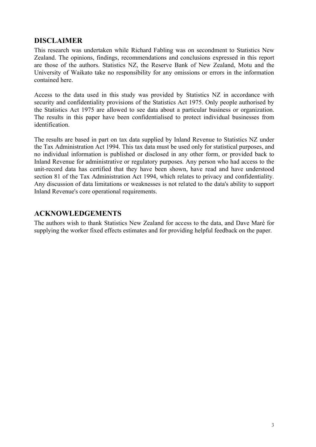### **DISCLAIMER**

This research was undertaken while Richard Fabling was on secondment to Statistics New Zealand. The opinions, findings, recommendations and conclusions expressed in this report are those of the authors. Statistics NZ, the Reserve Bank of New Zealand, Motu and the University of Waikato take no responsibility for any omissions or errors in the information contained here.

Access to the data used in this study was provided by Statistics NZ in accordance with security and confidentiality provisions of the Statistics Act 1975. Only people authorised by the Statistics Act 1975 are allowed to see data about a particular business or organization. The results in this paper have been confidentialised to protect individual businesses from identification.

The results are based in part on tax data supplied by Inland Revenue to Statistics NZ under the Tax Administration Act 1994. This tax data must be used only for statistical purposes, and no individual information is published or disclosed in any other form, or provided back to Inland Revenue for administrative or regulatory purposes. Any person who had access to the unit-record data has certified that they have been shown, have read and have understood section 81 of the Tax Administration Act 1994, which relates to privacy and confidentiality. Any discussion of data limitations or weaknesses is not related to the data's ability to support Inland Revenue's core operational requirements.

### **ACKNOWLEDGEMENTS**

The authors wish to thank Statistics New Zealand for access to the data, and Dave Maré for supplying the worker fixed effects estimates and for providing helpful feedback on the paper.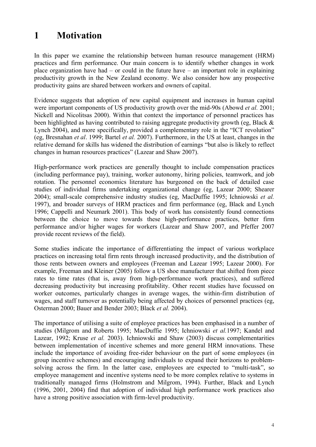# **1 Motivation**

In this paper we examine the relationship between human resource management (HRM) practices and firm performance. Our main concern is to identify whether changes in work place organization have had – or could in the future have – an important role in explaining productivity growth in the New Zealand economy. We also consider how any prospective productivity gains are shared between workers and owners of capital.

Evidence suggests that adoption of new capital equipment and increases in human capital were important components of US productivity growth over the mid-90s (Abowd *et al.* 2001; Nickell and Nicolitsas 2000). Within that context the importance of personnel practices has been highlighted as having contributed to raising aggregate productivity growth (eg, Black & Lynch 2004), and more specifically, provided a complementary role in the "ICT revolution" (eg, Bresnahan *et al*. 1999; Bartel *et al.* 2007). Furthermore, in the US at least, changes in the relative demand for skills has widened the distribution of earnings "but also is likely to reflect changes in human resources practices" (Lazear and Shaw 2007).

High-performance work practices are generally thought to include compensation practices (including performance pay), training, worker autonomy, hiring policies, teamwork, and job rotation. The personnel economics literature has burgeoned on the back of detailed case studies of individual firms undertaking organizational change (eg, Lazear 2000; Shearer 2004); small-scale comprehensive industry studies (eg, MacDuffie 1995; Ichniowski *et al.* 1997), and broader surveys of HRM practices and firm performance (eg, Black and Lynch 1996; Cappelli and Neumark 2001). This body of work has consistently found connections between the choice to move towards these high-performance practices, better firm performance and/or higher wages for workers (Lazear and Shaw 2007, and Pfeffer 2007 provide recent reviews of the field).

Some studies indicate the importance of differentiating the impact of various workplace practices on increasing total firm rents through increased productivity, and the distribution of those rents between owners and employees (Freeman and Lazear 1995; Lazear 2000). For example, Freeman and Kleiner (2005) follow a US shoe manufacturer that shifted from piece rates to time rates (that is, away from high-performance work practices), and suffered decreasing productivity but increasing profitability. Other recent studies have focussed on worker outcomes, particularly changes in average wages, the within-firm distribution of wages, and staff turnover as potentially being affected by choices of personnel practices (eg, Osterman 2000; Bauer and Bender 2003; Black *et al.* 2004).

The importance of utilising a suite of employee practices has been emphasised in a number of studies (Milgrom and Roberts 1995; MacDuffie 1995; Ichniowski *et al.*1997; Kandel and Lazear, 1992; Kruse *et al.* 2003). Ichniowski and Shaw (2003) discuss complementarities between implementation of incentive schemes and more general HRM innovations. These include the importance of avoiding free-rider behaviour on the part of some employees (in group incentive schemes) and encouraging individuals to expand their horizons to problemsolving across the firm. In the latter case, employees are expected to "multi-task", so employee management and incentive systems need to be more complex relative to systems in traditionally managed firms (Holmstrom and Milgrom, 1994). Further, Black and Lynch (1996, 2001, 2004) find that adoption of individual high performance work practices also have a strong positive association with firm-level productivity.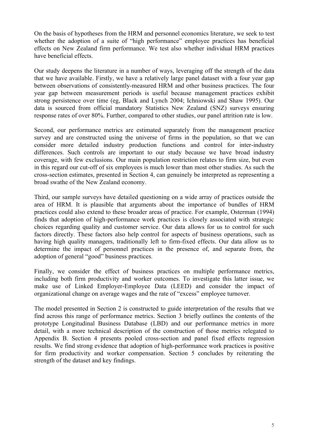On the basis of hypotheses from the HRM and personnel economics literature, we seek to test whether the adoption of a suite of "high performance" employee practices has beneficial effects on New Zealand firm performance. We test also whether individual HRM practices have beneficial effects.

Our study deepens the literature in a number of ways, leveraging off the strength of the data that we have available. Firstly, we have a relatively large panel dataset with a four year gap between observations of consistently-measured HRM and other business practices. The four year gap between measurement periods is useful because management practices exhibit strong persistence over time (eg, Black and Lynch 2004; Ichniowski and Shaw 1995). Our data is sourced from official mandatory Statistics New Zealand (SNZ) surveys ensuring response rates of over 80%. Further, compared to other studies, our panel attrition rate is low.

Second, our performance metrics are estimated separately from the management practice survey and are constructed using the universe of firms in the population, so that we can consider more detailed industry production functions and control for inter-industry differences. Such controls are important to our study because we have broad industry coverage, with few exclusions. Our main population restriction relates to firm size, but even in this regard our cut-off of six employees is much lower than most other studies. As such the cross-section estimates, presented in Section 4, can genuinely be interpreted as representing a broad swathe of the New Zealand economy.

Third, our sample surveys have detailed questioning on a wide array of practices outside the area of HRM. It is plausible that arguments about the importance of bundles of HRM practices could also extend to these broader areas of practice. For example, Osterman (1994) finds that adoption of high-performance work practices is closely associated with strategic choices regarding quality and customer service. Our data allows for us to control for such factors directly. These factors also help control for aspects of business operations, such as having high quality managers, traditionally left to firm-fixed effects. Our data allow us to determine the impact of personnel practices in the presence of, and separate from, the adoption of general "good" business practices.

Finally, we consider the effect of business practices on multiple performance metrics, including both firm productivity and worker outcomes. To investigate this latter issue, we make use of Linked Employer-Employee Data (LEED) and consider the impact of organizational change on average wages and the rate of "excess" employee turnover.

The model presented in Section 2 is constructed to guide interpretation of the results that we find across this range of performance metrics. Section 3 briefly outlines the contents of the prototype Longitudinal Business Database (LBD) and our performance metrics in more detail, with a more technical description of the construction of those metrics relegated to Appendix B. Section 4 presents pooled cross-section and panel fixed effects regression results. We find strong evidence that adoption of high-performance work practices is positive for firm productivity and worker compensation. Section 5 concludes by reiterating the strength of the dataset and key findings.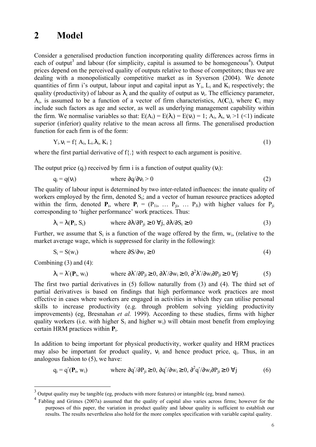### **2 Model**

Consider a generalised production function incorporating quality differences across firms in each of output<sup>3</sup> and labour (for simplicity, capital is assumed to be homogeneous<sup>4</sup>). Output prices depend on the perceived quality of outputs relative to those of competitors; thus we are dealing with a monopolistically competitive market as in Syverson (2004). We denote quantities of firm i's output, labour input and capital input as  $Y_i$ ,  $L_i$  and  $K_i$  respectively; the quality (productivity) of labour as  $\lambda_i$  and the quality of output as  $v_i$ . The efficiency parameter,  $A_i$ , is assumed to be a function of a vector of firm characteristics,  $A(C_i)$ , where  $C_i$  may include such factors as age and sector, as well as underlying management capability within the firm. We normalise variables so that:  $E(A_i) = E(\lambda_i) = E(v_i) = 1$ ;  $A_i$ ,  $\lambda_i$ ,  $v_i > 1$  (<1) indicate superior (inferior) quality relative to the mean across all firms. The generalised production function for each firm is of the form:

$$
Y_i. v_i = f\{A_i, L_i. \lambda_i, K_i\}
$$
 (1)

where the first partial derivative of  $f$ . with respect to each argument is positive.

The output price  $(q_i)$  received by firm i is a function of output quality  $(v_i)$ :

$$
q_i = q(v_i) \qquad \text{where } \partial q / \partial v_i > 0 \qquad (2)
$$

The quality of labour input is determined by two inter-related influences: the innate quality of workers employed by the firm, denoted  $S_i$ ; and a vector of human resource practices adopted within the firm, denoted  $P_i$ , where  $P_i = (P_{1i}, \ldots, P_{ii}, \ldots, P_{Ji})$  with higher values for  $P_{ii}$ corresponding to 'higher performance' work practices. Thus:

$$
\lambda_i = \lambda(\mathbf{P}_i, \mathbf{S}_i) \qquad \text{where } \partial \lambda / \partial \mathbf{P}_{ji} \ge 0 \ \forall j, \ \partial \lambda / \partial \mathbf{S}_i \ge 0 \tag{3}
$$

Further, we assume that  $S_i$  is a function of the wage offered by the firm,  $w_i$ , (relative to the market average wage, which is suppressed for clarity in the following):

$$
S_i = S(w_i) \qquad \text{where } \frac{\partial S}{\partial w_i} \ge 0 \tag{4}
$$

Combining (3) and (4):

$$
\lambda_i = \lambda'(\mathbf{P}_i, w_i) \qquad \text{where } \partial \lambda'/\partial P_{ji} \ge 0, \, \partial \lambda'/\partial w_i \ge 0, \, \partial^2 \lambda'/\partial w_i \partial P_{ji} \ge 0 \,\,\forall j \tag{5}
$$

The first two partial derivatives in (5) follow naturally from (3) and (4). The third set of partial derivatives is based on findings that high performance work practices are most effective in cases where workers are engaged in activities in which they can utilise personal skills to increase productivity (e.g. through problem solving yielding productivity improvements) (eg, Bresnahan *et al.* 1999). According to these studies, firms with higher quality workers (i.e. with higher  $S_i$  and higher w<sub>i</sub>) will obtain most benefit from employing certain HRM practices within **P**i.

In addition to being important for physical productivity, worker quality and HRM practices may also be important for product quality,  $v_i$  and hence product price,  $q_i$ . Thus, in an analogous fashion to (5), we have:

$$
q_i = q'(\mathbf{P}_i, w_i) \qquad \text{where } \partial q' / \partial P_{ji} \ge 0, \, \partial q' / \partial w_i \ge 0, \, \partial^2 q' / \partial w_i \partial P_{ji} \ge 0 \, \forall j \tag{6}
$$

<sup>&</sup>lt;sup>3</sup> Output quality may be tangible (eg, products with more features) or intangible (eg, brand names).

<sup>4</sup> Fabling and Grimes (2007a) assumed that the quality of capital also varies across firms; however for the purposes of this paper, the variation in product quality and labour quality is sufficient to establish our results. The results nevertheless also hold for the more complex specification with variable capital quality.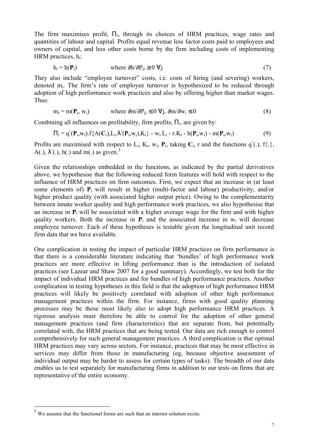The firm maximises profit,  $\Pi_i$ , through its choices of HRM practices, wage rates and quantities of labour and capital. Profits equal revenue less factor costs paid to employees and owners of capital, and less other costs borne by the firm including costs of implementing HRM practices, hi:

$$
h_i = h(\mathbf{P}_i) \qquad \text{where } \partial h / \partial P_{ji} \ge 0 \ \forall j \tag{7}
$$

They also include "employee turnover" costs, i.e. costs of hiring (and severing) workers, denoted m<sub>i</sub>. The firm's rate of employee turnover is hypothesized to be reduced through adoption of high performance work practices and also by offering higher than market wages. Thus:

$$
m_i = m(\mathbf{P}_i, w_i)
$$
 where  $\partial m / \partial P_{ji} \le 0 \ \forall j, \ \partial m / \partial w_i \le 0$  (8)

Combining all influences on profitability, firm profits,  $\Pi_i$ , are given by:

$$
\Pi_i = q'(\mathbf{P}_i, w_i). f\{A(\mathbf{C}_i), L_i.\lambda'(\mathbf{P}_i, w_i), K_i\} - w_i. L_i - r.K_i - h(\mathbf{P}_i, w_i) - m(\mathbf{P}_i, w_i)
$$
(9)

Profits are maximised with respect to  $L_i$ ,  $K_i$ ,  $w_i$ ,  $P_i$ , taking  $C_i$ , r and the functions  $q'(.)$ ,  $f\{.\}$ , A(.),  $\lambda'$ (.), h(.) and m(.) as given.<sup>5</sup>

Given the relationships embedded in the functions, as indicated by the partial derivatives above, we hypothesise that the following reduced form features will hold with respect to the influence of HRM practices on firm outcomes. First, we expect that an increase in (at least some elements of)  $P_i$  will result in higher (multi-factor and labour) productivity, and/or higher product quality (with associated higher output price). Owing to the complementarity between innate worker quality and high performance work practices, we also hypothesise that an increase in **P**i will be associated with a higher average wage for the firm and with higher quality workers. Both the increase in  $P_i$  and the associated increase in  $w_i$  will decrease employee turnover. Each of these hypotheses is testable given the longitudinal unit record firm data that we have available.

One complication in testing the impact of particular HRM practices on firm performance is that there is a considerable literature indicating that 'bundles' of high performance work practices are more effective in lifting performance than is the introduction of isolated practices (see Lazear and Shaw 2007 for a good summary). Accordingly, we test both for the impact of individual HRM practices and for bundles of high performance practices. Another complication in testing hypotheses in this field is that the adoption of high performance HRM practices will likely be positively correlated with adoption of other high performance management practices within the firm. For instance, firms with good quality planning processes may be those most likely also to adopt high performance HRM practices. A rigorous analysis must therefore be able to control for the adoption of other general management practices (and firm characteristics) that are separate from, but potentially correlated with, the HRM practices that are being tested. Our data are rich enough to control comprehensively for such general management practices. A third complication is that optimal HRM practices may vary across sectors. For instance, practices that may be most effective in services may differ from those in manufacturing (eg, because objective assessment of individual output may be harder to assess for certain types of tasks). The breadth of our data enables us to test separately for manufacturing firms in addition to our tests on firms that are representative of the entire economy.

 $5$  We assume that the functional forms are such that an interior solution exists.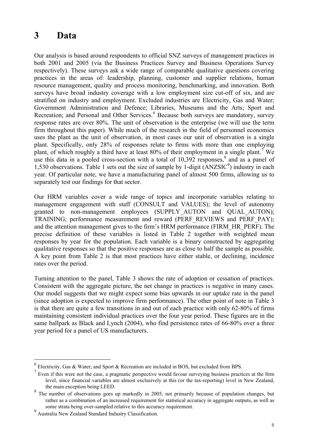### **3 Data**

Our analysis is based around respondents to official SNZ surveys of management practices in both 2001 and 2005 (via the Business Practices Survey and Business Operations Survey respectively). These surveys ask a wide range of comparable qualitative questions covering practices in the areas of: leadership, planning, customer and supplier relations, human resource management, quality and process monitoring, benchmarking, and innovation. Both surveys have broad industry coverage with a low employment size cut-off of six, and are stratified on industry and employment. Excluded industries are Electricity, Gas and Water; Government Administration and Defence; Libraries, Museums and the Arts; Sport and Recreation; and Personal and Other Services.<sup>6</sup> Because both surveys are mandatory, survey response rates are over 80%. The unit of observation is the enterprise (we will use the term firm throughout this paper). While much of the research in the field of personnel economics uses the plant as the unit of observation, in most cases our unit of observation is a single plant. Specifically, only 28% of responses relate to firms with more than one employing plant, of which roughly a third have at least 80% of their employment in a single plant.<sup>7</sup> We use this data in a pooled cross-section with a total of  $10,392$  responses, $8$  and as a panel of 1,530 observations. Table 1 sets out the size of sample by 1-digit  $(ANZSIC<sup>9</sup>)$  industry in each year. Of particular note, we have a manufacturing panel of almost 500 firms, allowing us to separately test our findings for that sector.

Our HRM variables cover a wide range of topics and incorporate variables relating to management engagement with staff (CONSULT and VALUES); the level of autonomy granted to non-management employees (SUPPLY\_AUTON and QUAL\_AUTON); TRAINING; performance measurement and reward (PERF\_REVIEWS and PERF\_PAY); and the attention management gives to the firm's HRM performance (FIRM\_HR\_PERF). The precise definition of these variables is listed in Table 2 together with weighted mean responses by year for the population. Each variable is a binary constructed by aggregating qualitative responses so that the positive responses are as close to half the sample as possible. A key point from Table 2 is that most practices have either stable, or declining, incidence rates over the period.

Turning attention to the panel, Table 3 shows the rate of adoption or cessation of practices. Consistent with the aggregate picture, the net change in practices is negative in many cases. Our model suggests that we might expect some bias upwards in our uptake rate in the panel (since adoption is expected to improve firm performance). The other point of note in Table 3 is that there are quite a few transitions in and out of each practice with only 62-80% of firms maintaining consistent individual practices over the four year period. These figures are in the same ballpark as Black and Lynch (2004), who find persistence rates of 66-80% over a three year period for a panel of US manufacturers.

 $<sup>6</sup>$  Electricity, Gas & Water; and Sport & Recreation are included in BOS, but excluded from BPS.</sup>

 $<sup>7</sup>$  Even if this were not the case, a pragmatic perspective would favour surveying business practices at the firm</sup> level, since financial variables are almost exclusively at this (or the tax-reporting) level in New Zealand, the main exception being LEED.

<sup>&</sup>lt;sup>8</sup> The number of observations goes up markedly in 2005, not primarily because of population changes, but rather as a combination of an increased requirement for statistical accuracy in aggregate outputs, as well as some strata being over-sampled relative to this accuracy requirement.

<sup>9</sup> Australia New Zealand Standard Industry Classification.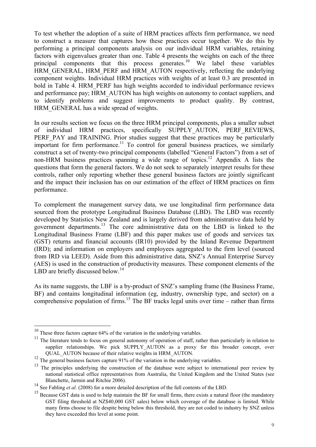To test whether the adoption of a suite of HRM practices affects firm performance, we need to construct a measure that captures how these practices occur together. We do this by performing a principal components analysis on our individual HRM variables, retaining factors with eigenvalues greater than one. Table 4 presents the weights on each of the three principal components that this process generates.<sup>10</sup> We label these variables HRM\_GENERAL, HRM\_PERF and HRM\_AUTON respectively, reflecting the underlying component weights. Individual HRM practices with weights of at least 0.3 are presented in bold in Table 4. HRM\_PERF has high weights accorded to individual performance reviews and performance pay; HRM\_AUTON has high weights on autonomy to contact suppliers, and to identify problems and suggest improvements to product quality. By contrast, HRM GENERAL has a wide spread of weights.

In our results section we focus on the three HRM principal components, plus a smaller subset of individual HRM practices, specifically SUPPLY\_AUTON, PERF\_REVIEWS, PERF\_PAY and TRAINING. Prior studies suggest that these practices may be particularly important for firm performance.<sup>11</sup> To control for general business practices, we similarly construct a set of twenty-two principal components (labelled "General Factors") from a set of non-HRM business practices spanning a wide range of topics.<sup>12</sup> Appendix A lists the questions that form the general factors. We do not seek to separately interpret results for these controls, rather only reporting whether these general business factors are jointly significant and the impact their inclusion has on our estimation of the effect of HRM practices on firm performance.

To complement the management survey data, we use longitudinal firm performance data sourced from the prototype Longitudinal Business Database (LBD). The LBD was recently developed by Statistics New Zealand and is largely derived from administrative data held by government departments.<sup>13</sup> The core administrative data on the LBD is linked to the Longitudinal Business Frame (LBF) and this paper makes use of goods and services tax (GST) returns and financial accounts (IR10) provided by the Inland Revenue Department (IRD); and information on employers and employees aggregated to the firm level (sourced from IRD via LEED). Aside from this administrative data, SNZ's Annual Enterprise Survey (AES) is used in the construction of productivity measures. These component elements of the LBD are briefly discussed below.<sup>14</sup>

As its name suggests, the LBF is a by-product of SNZ's sampling frame (the Business Frame, BF) and contains longitudinal information (eg, industry, ownership type, and sector) on a comprehensive population of firms.<sup>15</sup> The BF tracks legal units over time – rather than firms

<sup>&</sup>lt;sup>10</sup> These three factors capture 64% of the variation in the underlying variables.

<sup>&</sup>lt;sup>11</sup> The literature tends to focus on general autonomy of operation of staff, rather than particularly in relation to supplier relationships. We pick SUPPLY AUTON as a proxy for this broader concept, over QUAL\_AUTON because of their relative weights in HRM\_AUTON.

 $12$  The general business factors capture 91% of the variation in the underlying variables.

<sup>&</sup>lt;sup>13</sup> The principles underlying the construction of the database were subject to international peer review by national statistical office representatives from Australia, the United Kingdom and the United States (see Blanchette, Jarmin and Ritchie 2006).

<sup>&</sup>lt;sup>14</sup> See Fabling *et al.* (2008) for a more detailed description of the full contents of the LBD.

 $15$  Because GST data is used to help maintain the BF for small firms, there exists a natural floor (the mandatory GST filing threshold at NZ\$40,000 GST sales) below which coverage of the database is limited. While many firms choose to file despite being below this threshold, they are not coded to industry by SNZ unless they have exceeded this level at some point.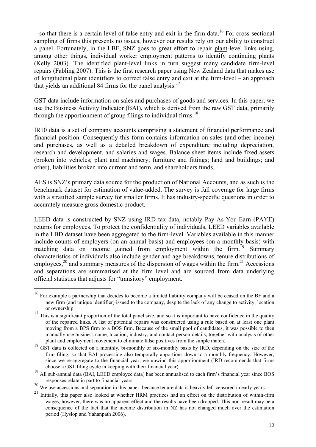$-$  so that there is a certain level of false entry and exit in the firm data.<sup>16</sup> For cross-sectional sampling of firms this presents no issues, however our results rely on our ability to construct a panel. Fortunately, in the LBF, SNZ goes to great effort to repair plant-level links using, among other things, individual worker employment patterns to identify continuing plants (Kelly 2003). The identified plant-level links in turn suggest many candidate firm-level repairs (Fabling 2007). This is the first research paper using New Zealand data that makes use of longitudinal plant identifiers to correct false entry and exit at the firm-level – an approach that yields an additional 84 firms for the panel analysis.<sup>17</sup>

GST data include information on sales and purchases of goods and services. In this paper, we use the Business Activity Indicator (BAI), which is derived from the raw GST data, primarily through the apportionment of group filings to individual firms.<sup>18</sup>

IR10 data is a set of company accounts comprising a statement of financial performance and financial position. Consequently this form contains information on sales (and other income) and purchases, as well as a detailed breakdown of expenditure including depreciation, research and development, and salaries and wages. Balance sheet items include fixed assets (broken into vehicles; plant and machinery; furniture and fittings; land and buildings; and other), liabilities broken into current and term, and shareholders funds.

AES is SNZ's primary data source for the production of National Accounts, and as such is the benchmark dataset for estimation of value-added. The survey is full coverage for large firms with a stratified sample survey for smaller firms. It has industry-specific questions in order to accurately measure gross domestic product.

LEED data is constructed by SNZ using IRD tax data, notably Pay-As-You-Earn (PAYE) returns for employees. To protect the confidentiality of individuals, LEED variables available in the LBD dataset have been aggregated to the firm-level. Variables available in this manner include counts of employers (on an annual basis) and employees (on a monthly basis) with matching data on income gained from employment within the firm.<sup>19</sup> Summary characteristics of individuals also include gender and age breakdowns, tenure distributions of employees,<sup>20</sup> and summary measures of the dispersion of wages within the firm.<sup>21</sup> Accessions and separations are summarised at the firm level and are sourced from data underlying official statistics that adjusts for "transitory" employment.

<sup>&</sup>lt;sup>16</sup> For example a partnership that decides to become a limited liability company will be ceased on the BF and a new firm (and unique identifier) issued to the company, despite the lack of any change to activity, location or ownership.

<sup>&</sup>lt;sup>17</sup> This is a significant proportion of the total panel size, and so it is important to have confidence in the quality of the repaired links. A list of potential repairs was constructed using a rule based on at least one plant moving from a BPS firm to a BOS firm. Because of the small pool of candidates, it was possible to then manually use business name, location, industry, and contact person details, together with analysis of other plant and employment movement to eliminate false positives from the simple match.

<sup>&</sup>lt;sup>18</sup> GST data is collected on a monthly, bi-monthly or six-monthly basis by IRD, depending on the size of the firm filing, so that BAI processing also temporally apportions down to a monthly frequency. However, since we re-aggregate to the financial year, we unwind this apportionment (IRD recommends that firms choose a GST filing cycle in keeping with their financial year).

<sup>19</sup> All sub-annual data (BAI, LEED employee data) has been annualised to each firm's financial year since BOS responses relate in part to financial years.

<sup>&</sup>lt;sup>20</sup> We use accessions and separation in this paper, because tenure data is heavily left-censored in early years.

 $^{21}$  Initially, this paper also looked at whether HRM practices had an effect on the distribution of within-firm wages, however, there was no apparent effect and the results have been dropped. This non-result may be a consequence of the fact that the income distribution in NZ has not changed much over the estimation period (Hyslop and Yahanpath 2006).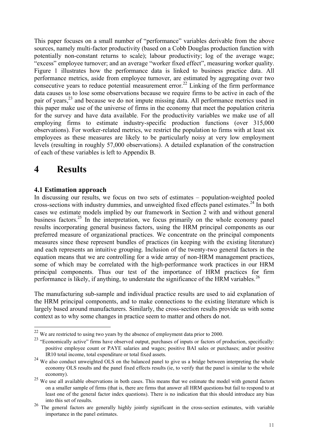This paper focuses on a small number of "performance" variables derivable from the above sources, namely multi-factor productivity (based on a Cobb Douglas production function with potentially non-constant returns to scale); labour productivity; log of the average wage; "excess" employee turnover; and an average "worker fixed effect", measuring worker quality. Figure 1 illustrates how the performance data is linked to business practice data. All performance metrics, aside from employee turnover, are estimated by aggregating over two consecutive years to reduce potential measurement error.<sup>22</sup> Linking of the firm performance data causes us to lose some observations because we require firms to be active in each of the pair of years,<sup>23</sup> and because we do not impute missing data. All performance metrics used in this paper make use of the universe of firms in the economy that meet the population criteria for the survey and have data available. For the productivity variables we make use of all employing firms to estimate industry-specific production functions (over 315,000 observations). For worker-related metrics, we restrict the population to firms with at least six employees as these measures are likely to be particularly noisy at very low employment levels (resulting in roughly 57,000 observations). A detailed explanation of the construction of each of these variables is left to Appendix B.

### **4 Results**

 $\overline{a}$ 

#### **4.1 Estimation approach**

In discussing our results, we focus on two sets of estimates – population-weighted pooled cross-sections with industry dummies, and unweighted fixed effects panel estimates.<sup>24</sup> In both cases we estimate models implied by our framework in Section 2 with and without general business factors.<sup>25</sup> In the interpretation, we focus primarily on the whole economy panel results incorporating general business factors, using the HRM principal components as our preferred measure of organizational practices. We concentrate on the principal components measures since these represent bundles of practices (in keeping with the existing literature) and each represents an intuitive grouping. Inclusion of the twenty-two general factors in the equation means that we are controlling for a wide array of non-HRM management practices, some of which may be correlated with the high-performance work practices in our HRM principal components. Thus our test of the importance of HRM practices for firm performance is likely, if anything, to understate the significance of the HRM variables.<sup>26</sup>

The manufacturing sub-sample and individual practice results are used to aid explanation of the HRM principal components, and to make connections to the existing literature which is largely based around manufacturers. Similarly, the cross-section results provide us with some context as to why some changes in practice seem to matter and others do not.

 $22$  We are restricted to using two years by the absence of employment data prior to 2000.

<sup>&</sup>lt;sup>23</sup> "Economically active" firms have observed output, purchases of inputs or factors of production, specifically: positive employee count or PAYE salaries and wages; positive BAI sales or purchases; and/or positive IR10 total income, total expenditure or total fixed assets.

<sup>&</sup>lt;sup>24</sup> We also conduct unweighted OLS on the balanced panel to give us a bridge between interpreting the whole economy OLS results and the panel fixed effects results (ie, to verify that the panel is similar to the whole economy).

<sup>&</sup>lt;sup>25</sup> We use all available observations in both cases. This means that we estimate the model with general factors on a smaller sample of firms (that is, there are firms that answer all HRM questions but fail to respond to at least one of the general factor index questions). There is no indication that this should introduce any bias into this set of results.

<sup>&</sup>lt;sup>26</sup> The general factors are generally highly jointly significant in the cross-section estimates, with variable importance in the panel estimates.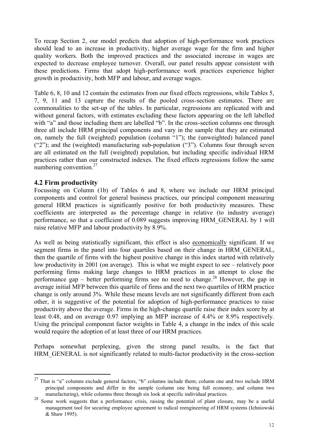To recap Section 2, our model predicts that adoption of high-performance work practices should lead to an increase in productivity, higher average wage for the firm and higher quality workers. Both the improved practices and the associated increase in wages are expected to decrease employee turnover. Overall, our panel results appear consistent with these predictions. Firms that adopt high-performance work practices experience higher growth in productivity, both MFP and labour, and average wages.

Table 6, 8, 10 and 12 contain the estimates from our fixed effects regressions, while Tables 5, 7, 9, 11 and 13 capture the results of the pooled cross-section estimates. There are commonalities to the set-up of the tables. In particular, regressions are replicated with and without general factors, with estimates excluding these factors appearing on the left labelled with "a" and those including them are labelled "b". In the cross-section columns one through three all include HRM principal components and vary in the sample that they are estimated on, namely the full (weighted) population (column "1"); the (unweighted) balanced panel ("2"); and the (weighted) manufacturing sub-population ("3"). Columns four through seven are all estimated on the full (weighted) population, but including specific individual HRM practices rather than our constructed indexes. The fixed effects regressions follow the same numbering convention.<sup>27</sup>

#### **4.2 Firm productivity**

 $\overline{a}$ 

Focussing on Column (1b) of Tables 6 and 8, where we include our HRM principal components and control for general business practices, our principal component measuring general HRM practices is significantly positive for both productivity measures. These coefficients are interpreted as the percentage change in relative (to industry average) performance, so that a coefficient of 0.089 suggests improving HRM\_GENERAL by 1 will raise relative MFP and labour productivity by 8.9%.

As well as being statistically significant, this effect is also economically significant. If we segment firms in the panel into four quartiles based on their change in HRM\_GENERAL, then the quartile of firms with the highest positive change in this index started with relatively low productivity in 2001 (on average). This is what we might expect to see – relatively poor performing firms making large changes to HRM practices in an attempt to close the performance gap – better performing firms see no need to change.<sup>28</sup> However, the gap in average initial MFP between this quartile of firms and the next two quartiles of HRM practice change is only around 3%. While these means levels are not significantly different from each other, it is suggestive of the potential for adoption of high-performance practices to raise productivity above the average. Firms in the high-change quartile raise their index score by at least 0.48, and on average 0.97 implying an MFP increase of 4.4% or 8.9% respectively. Using the principal component factor weights in Table 4, a change in the index of this scale would require the adoption of at least three of our HRM practices.

Perhaps somewhat perplexing, given the strong panel results, is the fact that HRM\_GENERAL is not significantly related to multi-factor productivity in the cross-section

 $27$  That is "a" columns exclude general factors, "b" columns include them; column one and two include HRM principal components and differ in the sample (column one being full economy, and column two manufacturing), while columns three through six look at specific individual practices.

<sup>&</sup>lt;sup>28</sup> Some work suggests that a performance crisis, raising the potential of plant closure, may be a useful management tool for securing employee agreement to radical reengineering of HRM systems (Ichniowski & Shaw 1995).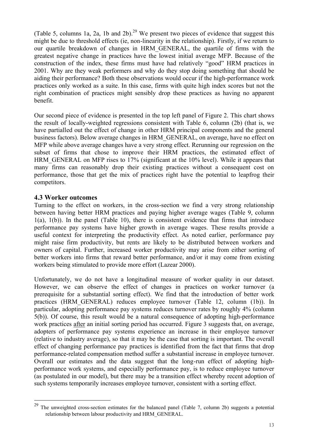(Table 5, columns 1a, 2a, 1b and 2b).<sup>29</sup> We present two pieces of evidence that suggest this might be due to threshold effects (ie, non-linearity in the relationship). Firstly, if we return to our quartile breakdown of changes in HRM\_GENERAL, the quartile of firms with the greatest negative change in practices have the lowest initial average MFP. Because of the construction of the index, these firms must have had relatively "good" HRM practices in 2001. Why are they weak performers and why do they stop doing something that should be aiding their performance? Both these observations would occur if the high-performance work practices only worked as a suite. In this case, firms with quite high index scores but not the right combination of practices might sensibly drop these practices as having no apparent benefit.

Our second piece of evidence is presented in the top left panel of Figure 2. This chart shows the result of locally-weighted regressions consistent with Table 6, column (2b) (that is, we have partialled out the effect of change in other HRM principal components and the general business factors). Below average changes in HRM\_GENERAL, on average, have no effect on MFP while above average changes have a very strong effect. Rerunning our regression on the subset of firms that chose to improve their HRM practices, the estimated effect of HRM GENERAL on MFP rises to 17% (significant at the 10% level). While it appears that many firms can reasonably drop their existing practices without a consequent cost on performance, those that get the mix of practices right have the potential to leapfrog their competitors.

#### **4.3 Worker outcomes**

 $\overline{a}$ 

Turning to the effect on workers, in the cross-section we find a very strong relationship between having better HRM practices and paying higher average wages (Table 9, column  $1(a)$ ,  $1(b)$ ). In the panel (Table 10), there is consistent evidence that firms that introduce performance pay systems have higher growth in average wages. These results provide a useful context for interpreting the productivity effect. As noted earlier, performance pay might raise firm productivity, but rents are likely to be distributed between workers and owners of capital. Further, increased worker productivity may arise from either sorting of better workers into firms that reward better performance, and/or it may come from existing workers being stimulated to provide more effort (Lazear 2000).

Unfortunately, we do not have a longitudinal measure of worker quality in our dataset. However, we can observe the effect of changes in practices on worker turnover (a prerequisite for a substantial sorting effect). We find that the introduction of better work practices (HRM\_GENERAL) reduces employee turnover (Table 12, column (1b)). In particular, adopting performance pay systems reduces turnover rates by roughly 4% (column 5(b)). Of course, this result would be a natural consequence of adopting high-performance work practices after an initial sorting period has occurred. Figure 3 suggests that, on average, adopters of performance pay systems experience an increase in their employee turnover (relative to industry average), so that it may be the case that sorting is important. The overall effect of changing performance pay practices is identified from the fact that firms that drop performance-related compensation method suffer a substantial increase in employee turnover. Overall our estimates and the data suggest that the long-run effect of adopting highperformance work systems, and especially performance pay, is to reduce employee turnover (as postulated in our model), but there may be a transition effect whereby recent adoption of such systems temporarily increases employee turnover, consistent with a sorting effect.

<sup>&</sup>lt;sup>29</sup> The unweighted cross-section estimates for the balanced panel (Table 7, column 2b) suggests a potential relationship between labour productivity and HRM\_GENERAL.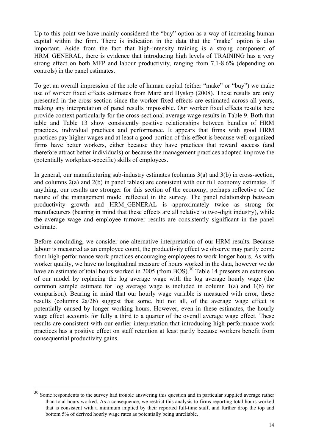Up to this point we have mainly considered the "buy" option as a way of increasing human capital within the firm. There is indication in the data that the "make" option is also important. Aside from the fact that high-intensity training is a strong component of HRM GENERAL, there is evidence that introducing high levels of TRAINING has a very strong effect on both MFP and labour productivity, ranging from 7.1-8.6% (depending on controls) in the panel estimates.

To get an overall impression of the role of human capital (either "make" or "buy") we make use of worker fixed effects estimates from Maré and Hyslop (2008). These results are only presented in the cross-section since the worker fixed effects are estimated across all years, making any interpretation of panel results impossible. Our worker fixed effects results here provide context particularly for the cross-sectional average wage results in Table 9. Both that table and Table 13 show consistently positive relationships between bundles of HRM practices, individual practices and performance. It appears that firms with good HRM practices pay higher wages and at least a good portion of this effect is because well-organized firms have better workers, either because they have practices that reward success (and therefore attract better individuals) or because the management practices adopted improve the (potentially workplace-specific) skills of employees.

In general, our manufacturing sub-industry estimates (columns 3(a) and 3(b) in cross-section, and columns 2(a) and 2(b) in panel tables) are consistent with our full economy estimates. If anything, our results are stronger for this section of the economy, perhaps reflective of the nature of the management model reflected in the survey. The panel relationship between productivity growth and HRM\_GENERAL is approximately twice as strong for manufacturers (bearing in mind that these effects are all relative to two-digit industry), while the average wage and employee turnover results are consistently significant in the panel estimate.

Before concluding, we consider one alternative interpretation of our HRM results. Because labour is measured as an employee count, the productivity effect we observe may partly come from high-performance work practices encouraging employees to work longer hours. As with worker quality, we have no longitudinal measure of hours worked in the data, however we do have an estimate of total hours worked in 2005 (from BOS).<sup>30</sup> Table 14 presents an extension of our model by replacing the log average wage with the log average hourly wage (the common sample estimate for log average wage is included in column 1(a) and 1(b) for comparison). Bearing in mind that our hourly wage variable is measured with error, these results (columns 2a/2b) suggest that some, but not all, of the average wage effect is potentially caused by longer working hours. However, even in these estimates, the hourly wage effect accounts for fully a third to a quarter of the overall average wage effect. These results are consistent with our earlier interpretation that introducing high-performance work practices has a positive effect on staff retention at least partly because workers benefit from consequential productivity gains.

<sup>&</sup>lt;sup>30</sup> Some respondents to the survey had trouble answering this question and in particular supplied average rather than total hours worked. As a consequence, we restrict this analysis to firms reporting total hours worked that is consistent with a minimum implied by their reported full-time staff, and further drop the top and bottom 5% of derived hourly wage rates as potentially being unreliable.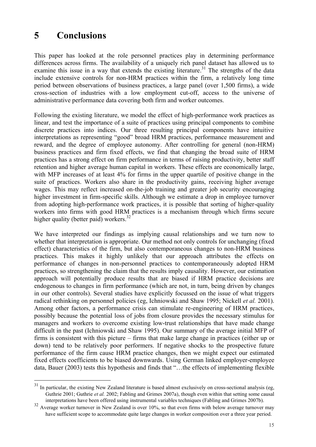# **5 Conclusions**

 $\overline{a}$ 

This paper has looked at the role personnel practices play in determining performance differences across firms. The availability of a uniquely rich panel dataset has allowed us to examine this issue in a way that extends the existing literature.<sup>31</sup> The strengths of the data include extensive controls for non-HRM practices within the firm, a relatively long time period between observations of business practices, a large panel (over 1,500 firms), a wide cross-section of industries with a low employment cut-off, access to the universe of administrative performance data covering both firm and worker outcomes.

Following the existing literature, we model the effect of high-performance work practices as linear, and test the importance of a suite of practices using principal components to combine discrete practices into indices. Our three resulting principal components have intuitive interpretations as representing "good" broad HRM practices, performance measurement and reward, and the degree of employee autonomy. After controlling for general (non-HRM) business practices and firm fixed effects, we find that changing the broad suite of HRM practices has a strong effect on firm performance in terms of raising productivity, better staff retention and higher average human capital in workers. These effects are economically large, with MFP increases of at least 4% for firms in the upper quartile of positive change in the suite of practices. Workers also share in the productivity gains, receiving higher average wages. This may reflect increased on-the-job training and greater job security encouraging higher investment in firm-specific skills. Although we estimate a drop in employee turnover from adopting high-performance work practices, it is possible that sorting of higher-quality workers into firms with good HRM practices is a mechanism through which firms secure higher quality (better paid) workers. $32$ 

We have interpreted our findings as implying causal relationships and we turn now to whether that interpretation is appropriate. Our method not only controls for unchanging (fixed effect) characteristics of the firm, but also contemporaneous changes to non-HRM business practices. This makes it highly unlikely that our approach attributes the effects on performance of changes in non-personnel practices to contemporaneously adopted HRM practices, so strengthening the claim that the results imply causality. However, our estimation approach will potentially produce results that are biased if HRM practice decisions are endogenous to changes in firm performance (which are not, in turn, being driven by changes in our other controls). Several studies have explicitly focussed on the issue of what triggers radical rethinking on personnel policies (eg, Ichniowski and Shaw 1995; Nickell *et al.* 2001). Among other factors, a performance crisis can stimulate re-engineering of HRM practices, possibly because the potential loss of jobs from closure provides the necessary stimulus for managers and workers to overcome existing low-trust relationships that have made change difficult in the past (Ichniowski and Shaw 1995). Our summary of the average initial MFP of firms is consistent with this picture – firms that make large change in practices (either up or down) tend to be relatively poor performers. If negative shocks to the prospective future performance of the firm cause HRM practice changes, then we might expect our estimated fixed effects coefficients to be biased downwards. Using German linked employer-employee data, Bauer (2003) tests this hypothesis and finds that "…the effects of implementing flexible

 $31$  In particular, the existing New Zealand literature is based almost exclusively on cross-sectional analysis (eg, Guthrie 2001; Guthrie *et al.* 2002; Fabling and Grimes 2007a), though even within that setting some causal interpretations have been offered using instrumental variables techniques (Fabling and Grimes 2007b).

 $32$  Average worker turnover in New Zealand is over 10%, so that even firms with below average turnover may have sufficient scope to accommodate quite large changes in worker composition over a three year period.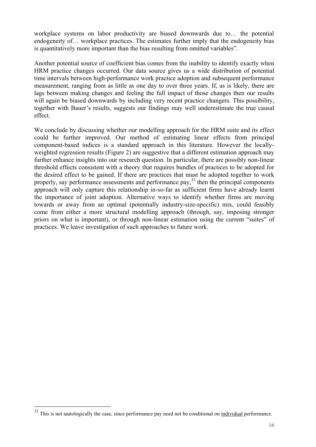workplace systems on labor productivity are biased downwards due to… the potential endogeneity of… workplace practices. The estimates further imply that the endogeneity bias is quantitatively more important than the bias resulting from omitted variables".

Another potential source of coefficient bias comes from the inability to identify exactly when HRM practice changes occurred. Our data source gives us a wide distribution of potential time intervals between high-performance work practice adoption and subsequent performance measurement, ranging from as little as one day to over three years. If, as is likely, there are lags between making changes and feeling the full impact of those changes then our results will again be biased downwards by including very recent practice changers. This possibility, together with Bauer's results, suggests our findings may well underestimate the true causal effect.

We conclude by discussing whether our modelling approach for the HRM suite and its effect could be further improved. Our method of estimating linear effects from principal component-based indices is a standard approach in this literature. However the locallyweighted regression results (Figure 2) are suggestive that a different estimation approach may further enhance insights into our research question. In particular, there are possibly non-linear threshold effects consistent with a theory that requires bundles of practices to be adopted for the desired effect to be gained. If there are practices that must be adopted together to work properly, say performance assessments and performance pay,  $33$  then the principal components approach will only capture this relationship in-so-far as sufficient firms have already learnt the importance of joint adoption. Alternative ways to identify whether firms are moving towards or away from an optimal (potentially industry-size-specific) mix, could feasibly come from either a more structural modelling approach (through, say, imposing stronger priors on what is important), or through non-linear estimation using the current "suites" of practices. We leave investigation of such approaches to future work.

 $33$  This is not tautologically the case, since performance pay need not be conditional on individual performance.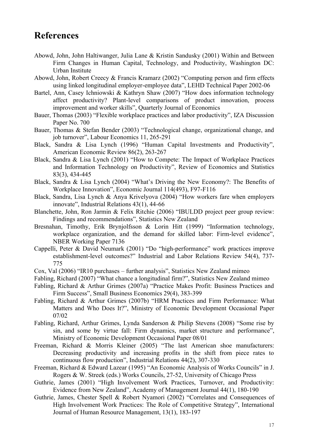### **References**

- Abowd, John, John Haltiwanger, Julia Lane & Kristin Sandusky (2001) Within and Between Firm Changes in Human Capital, Technology, and Productivity, Washington DC: Urban Institute
- Abowd, John, Robert Creecy & Francis Kramarz (2002) "Computing person and firm effects using linked longitudinal employer-employee data", LEHD Technical Paper 2002-06
- Bartel, Ann, Casey Ichniowski & Kathryn Shaw (2007) "How does information technology affect productivity? Plant-level comparisons of product innovation, process improvement and worker skills", Quarterly Journal of Economics
- Bauer, Thomas (2003) "Flexible workplace practices and labor productivity", IZA Discussion Paper No. 700
- Bauer, Thomas & Stefan Bender (2003) "Technological change, organizational change, and job turnover", Labour Economics 11, 265-291
- Black, Sandra & Lisa Lynch (1996) "Human Capital Investments and Productivity", American Economic Review 86(2), 263-267
- Black, Sandra & Lisa Lynch (2001) "How to Compete: The Impact of Workplace Practices and Information Technology on Productivity", Review of Economics and Statistics 83(3), 434-445
- Black, Sandra & Lisa Lynch (2004) "What's Driving the New Economy?: The Benefits of Workplace Innovation", Economic Journal 114(493), F97-F116
- Black, Sandra, Lisa Lynch & Anya Krivelyova (2004) "How workers fare when employers innovate", Industrial Relations 43(1), 44-66
- Blanchette, John, Ron Jarmin & Felix Ritchie (2006) "IBULDD project peer group review: Findings and recommendations", Statistics New Zealand
- Bresnahan, Timothy, Erik Brynjolfsson & Lorin Hitt (1999) "Information technology, workplace organization, and the demand for skilled labor: Firm-level evidence", NBER Working Paper 7136
- Cappelli, Peter & David Neumark (2001) "Do "high-performance" work practices improve establishment-level outcomes?" Industrial and Labor Relations Review 54(4), 737- 775
- Cox, Val (2006) "IR10 purchases further analysis", Statistics New Zealand mimeo
- Fabling, Richard (2007) "What chance a longitudinal firm?", Statistics New Zealand mimeo
- Fabling, Richard & Arthur Grimes (2007a) "Practice Makes Profit: Business Practices and Firm Success", Small Business Economics 29(4), 383-399
- Fabling, Richard & Arthur Grimes (2007b) "HRM Practices and Firm Performance: What Matters and Who Does It?", Ministry of Economic Development Occasional Paper 07/02
- Fabling, Richard, Arthur Grimes, Lynda Sanderson & Philip Stevens (2008) "Some rise by sin, and some by virtue fall: Firm dynamics, market structure and performance", Ministry of Economic Development Occasional Paper 08/01
- Freeman, Richard & Morris Kleiner (2005) "The last American shoe manufacturers: Decreasing productivity and increasing profits in the shift from piece rates to continuous flow production", Industrial Relations 44(2), 307-330
- Freeman, Richard & Edward Lazear (1995) "An Economic Analysis of Works Councils" in J. Rogers & W. Streek (eds.) Works Councils, 27-52, University of Chicago Press
- Guthrie, James (2001) "High Involvement Work Practices, Turnover, and Productivity: Evidence from New Zealand", Academy of Management Journal 44(1), 180-190
- Guthrie, James, Chester Spell & Robert Nyamori (2002) "Correlates and Consequences of High Involvement Work Practices: The Role of Competitive Strategy", International Journal of Human Resource Management, 13(1), 183-197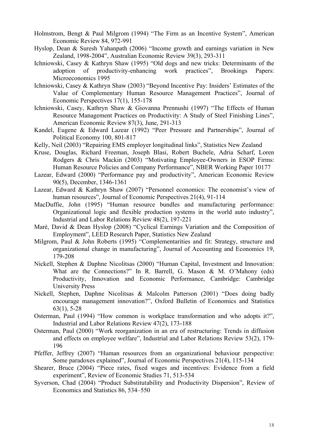- Holmstrom, Bengt & Paul Milgrom (1994) "The Firm as an Incentive System", American Economic Review 84, 972-991
- Hyslop, Dean & Suresh Yahanpath (2006) "Income growth and earnings variation in New Zealand, 1998-2004", Australian Economic Review 39(3), 293-311
- Ichniowski, Casey & Kathryn Shaw (1995) "Old dogs and new tricks: Determinants of the adoption of productivity-enhancing work practices", Brookings Papers: Microeconomics 1995
- Ichniowski, Casey & Kathryn Shaw (2003) "Beyond Incentive Pay: Insiders' Estimates of the Value of Complementary Human Resource Management Practices", Journal of Economic Perspectives 17(1), 155-178
- Ichniowski, Casey, Kathryn Shaw & Giovanna Prennushi (1997) "The Effects of Human Resource Management Practices on Productivity: A Study of Steel Finishing Lines", American Economic Review 87(3), June, 291-313
- Kandel, Eugene & Edward Lazear (1992) "Peer Pressure and Partnerships", Journal of Political Economy 100, 801-817
- Kelly, Neil (2003) "Repairing EMS employer longitudinal links", Statistics New Zealand
- Kruse, Douglas, Richard Freeman, Joseph Blasi, Robert Buchele, Adria Scharf, Loren Rodgers & Chris Mackin (2003) "Motivating Employee-Owners in ESOP Firms: Human Resource Policies and Company Performance", NBER Working Paper 10177
- Lazear, Edward (2000) "Performance pay and productivity", American Economic Review 90(5), December, 1346-1361
- Lazear, Edward & Kathryn Shaw (2007) "Personnel economics: The economist's view of human resources", Journal of Economic Perspectives 21(4), 91-114
- MacDuffie, John (1995) "Human resource bundles and manufacturing performance: Organizational logic and flexible production systems in the world auto industry", Industrial and Labor Relations Review 48(2), 197-221
- Maré, David & Dean Hyslop (2008) "Cyclical Earnings Variation and the Composition of Employment", LEED Research Paper, Statistics New Zealand
- Milgrom, Paul & John Roberts (1995) "Complementarities and fit: Strategy, structure and organizational change in manufacturing", Journal of Accounting and Economics 19, 179-208
- Nickell, Stephen & Daphne Nicolitsas (2000) "Human Capital, Investment and Innovation: What are the Connections?" In R. Barrell, G. Mason & M. O'Mahony (eds) Productivity, Innovation and Economic Performance, Cambridge: Cambridge University Press
- Nickell, Stephen, Daphne Nicolitsas & Malcolm Patterson (2001) "Does doing badly encourage management innovation?", Oxford Bulletin of Economics and Statistics 63(1), 5-28
- Osterman, Paul (1994) "How common is workplace transformation and who adopts it?", Industrial and Labor Relations Review 47(2), 173-188
- Osterman, Paul (2000) "Work reorganization in an era of restructuring: Trends in diffusion and effects on employee welfare", Industrial and Labor Relations Review 53(2), 179- 196
- Pfeffer, Jeffrey (2007) "Human resources from an organizational behaviour perspective: Some paradoxes explained", Journal of Economic Perspectives 21(4), 115-134
- Shearer, Bruce (2004) "Piece rates, fixed wages and incentives: Evidence from a field experiment", Review of Economic Studies 71, 513-534
- Syverson, Chad (2004) "Product Substitutability and Productivity Dispersion", Review of Economics and Statistics 86, 534–550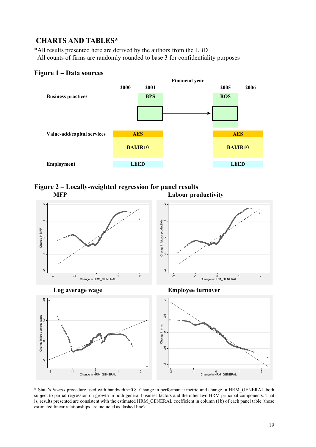### **CHARTS AND TABLES\***

\*All results presented here are derived by the authors from the LBD All counts of firms are randomly rounded to base 3 for confidentiality purposes

#### **Figure 1 – Data sources**







\* Stata's *lowess* procedure used with bandwidth=0.8. Change in performance metric and change in HRM\_GENERAL both subject to partial regression on growth in both general business factors and the other two HRM principal components. That is, results presented are consistent with the estimated HRM\_GENERAL coefficient in column (1b) of each panel table (those estimated linear relationships are included as dashed line).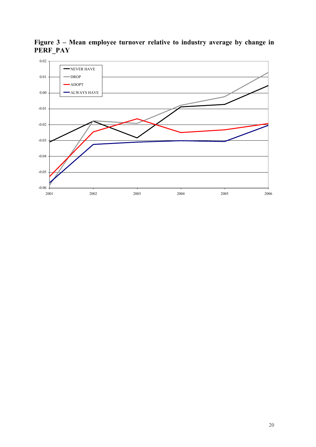

**Figure 3 – Mean employee turnover relative to industry average by change in PERF\_PAY**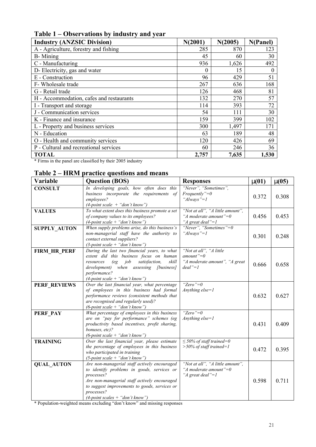| <b>Industry (ANZSIC Division)</b>        | N(2001)  | N(2005) | N(Panel)       |
|------------------------------------------|----------|---------|----------------|
| A - Agriculture, forestry and fishing    | 285      | 870     | 123            |
| <b>B</b> -Mining                         | 45       | 60      | 30             |
| C - Manufacturing                        | 936      | 1,626   | 492            |
| D- Electricity, gas and water            | $\theta$ | 15      | $\overline{0}$ |
| E - Construction                         | 96       | 429     | 51             |
| F-Wholesale trade                        | 267      | 636     | 168            |
| G - Retail trade                         | 126      | 468     | 81             |
| H - Accommodation, cafes and restaurants | 132      | 270     | 57             |
| I - Transport and storage                | 114      | 393     | 72             |
| J - Communication services               | 54       | 111     | 30             |
| K - Finance and insurance                | 159      | 399     | 102            |
| L - Property and business services       | 300      | 1,497   | 171            |
| N - Education                            | 63       | 189     | 48             |
| O - Health and community services        | 120      | 426     | 69             |
| P - Cultural and recreational services   | 60       | 246     | 36             |
| <b>TOTAL</b>                             | 2,757    | 7,635   | 1,530          |

**Table 1 – Observations by industry and year**

\* Firms in the panel are classified by their 2005 industry

**Table 2 – HRM practice questions and means**

| Variable            | <b>Question (BOS)</b>                                                                                                                                                                                                                                         | <b>Responses</b>                                                                        | m(01) | m(05) |
|---------------------|---------------------------------------------------------------------------------------------------------------------------------------------------------------------------------------------------------------------------------------------------------------|-----------------------------------------------------------------------------------------|-------|-------|
| <b>CONSULT</b>      | In developing goals, how often does this<br>business incorporate the requirements of<br>employees?<br>$(4$ -point scale $+$ "don't know")                                                                                                                     | "Never", "Sometimes",<br>$Frequently "=0$<br>" $Always$ "=1                             | 0.372 | 0.308 |
| <b>VALUES</b>       | To what extent does this business promote a set<br>of company values to its employees?<br>$(4$ -point scale + "don't know")                                                                                                                                   | "Not at all", "A little amount",<br>"A moderate amount"=0<br>"A great deal"=1           | 0.456 | 0.453 |
| <b>SUPPLY AUTON</b> | When supply problems arise, do this business's<br>non-managerial staff have the authority to<br>contact external suppliers?<br>$(3-point scale + "don't know")$                                                                                               | "Never", "Sometimes"= $0$<br>" $Always$ "=1                                             | 0.301 | 0.248 |
| <b>FIRM HR PERF</b> | During the last two financial years, to what<br>extent did this business focus on human<br>$(eg$ job<br>satisfaction,<br>skill<br>resources<br>when assessing [business]<br>development)<br>performance?<br>$(4-point scale + "don't know")$                  | "Not at all", "A little<br>$amount" = 0$<br>"A moderate amount", "A great<br>$deal$ "=1 | 0.666 | 0.658 |
| <b>PERF REVIEWS</b> | Over the last financial year, what percentage<br>of employees in this business had formal<br>performance reviews (consistent methods that<br>are recognised and regularly used)?<br>$(6$ -point scale + "don't know")                                         | "Zero"=0<br>Anything $else=1$                                                           | 0.632 | 0.627 |
| PERF PAY            | What percentage of employees in this business<br>are on "pay for performance" schemes (eg<br>productivity based incentives, profit sharing,<br>bonuses, etc)?<br>$(6$ -point scale + "don't know")                                                            | "Zero"=0<br>Anything $else=1$                                                           | 0.431 | 0.409 |
| <b>TRAINING</b>     | Over the last financial year, please estimate<br>the percentage of employees in this business<br>who participated in training<br>$(5-point scale + "don't know")$                                                                                             | $\leq$ 50% of staff trained=0<br>$>$ 50% of staff trained=1                             | 0.472 | 0.395 |
| <b>QUAL AUTON</b>   | Are non-managerial staff actively encouraged<br>to identify problems in goods, services or<br>processes?<br>Are non-managerial staff actively encouraged<br>to suggest improvements to goods, services or<br>processes?<br>$(4$ -point scales + "don't know") | "Not at all", "A little amount",<br>"A moderate amount"=0<br>"A great deal"=1           | 0.598 | 0.711 |

\* Population-weighted means excluding "don't know" and missing responses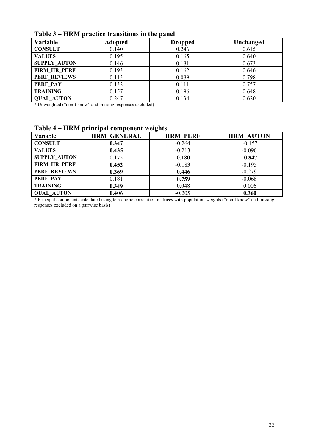| Variable            | <b>Adopted</b> | <b>Dropped</b> | Unchanged |
|---------------------|----------------|----------------|-----------|
| <b>CONSULT</b>      | 0.140          | 0.246          | 0.615     |
| <b>VALUES</b>       | 0.195          | 0.165          | 0.640     |
| <b>SUPPLY AUTON</b> | 0.146          | 0.181          | 0.673     |
| <b>FIRM HR PERF</b> | 0.193          | 0.162          | 0.646     |
| <b>PERF REVIEWS</b> | 0.113          | 0.089          | 0.798     |
| PERF PAY            | 0.132          | 0.111          | 0.757     |
| <b>TRAINING</b>     | 0.157          | 0.196          | 0.648     |
| <b>QUAL AUTON</b>   | 0.247          | 0.134          | 0.620     |

| Table 3 – HRM practice transitions in the panel |  |  |  |  |
|-------------------------------------------------|--|--|--|--|
|-------------------------------------------------|--|--|--|--|

\* Unweighted ("don't know" and missing responses excluded)

### **Table 4 – HRM principal component weights**

|                     |                    | 0               |                  |
|---------------------|--------------------|-----------------|------------------|
| Variable            | <b>HRM GENERAL</b> | <b>HRM PERF</b> | <b>HRM AUTON</b> |
| <b>CONSULT</b>      | 0.347              | $-0.264$        | $-0.157$         |
| <b>VALUES</b>       | 0.435              | $-0.213$        | $-0.090$         |
| <b>SUPPLY AUTON</b> | 0.175              | 0.180           | 0.847            |
| <b>FIRM HR PERF</b> | 0.452              | $-0.183$        | $-0.195$         |
| <b>PERF REVIEWS</b> | 0.369              | 0.446           | $-0.279$         |
| PERF PAY            | 0.181              | 0.759           | $-0.068$         |
| <b>TRAINING</b>     | 0.349              | 0.048           | 0.006            |
| <b>QUAL AUTON</b>   | 0.406              | $-0.205$        | 0.360            |

\* Principal components calculated using tetrachoric correlation matrices with population-weights ("don't know" and missing responses excluded on a pairwise basis)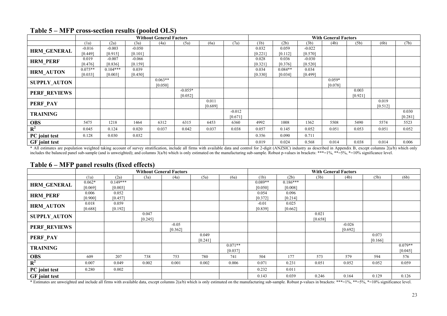|                     |           |            |          | <b>Without General Factors</b> |           |         |          | <b>With General Factors</b> |           |          |          |         |         |         |
|---------------------|-----------|------------|----------|--------------------------------|-----------|---------|----------|-----------------------------|-----------|----------|----------|---------|---------|---------|
|                     | (1a)      | (2a)       | (3a)     | (4a)                           | (5a)      | (6a)    | (7a)     | (1b)                        | (2b)      | (3b)     | (4b)     | (5b)    | (6b)    | (7b)    |
| <b>HRM GENERAL</b>  | $-0.016$  | $-0.003$   | $-0.050$ |                                |           |         |          | 0.032                       | 0.059     | $-0.022$ |          |         |         |         |
|                     | [0.449]   | [0.915]    | [0.101]  |                                |           |         |          | [0.221]                     | [0.112]   | [0.570]  |          |         |         |         |
| <b>HRM PERF</b>     | 0.019     | $-0.007$   | $-0.066$ |                                |           |         |          | 0.028                       | 0.036     | $-0.030$ |          |         |         |         |
|                     | [0.476]   | [0.836]    | [0.159]  |                                |           |         |          | [0.321]                     | [0.376]   | [0.520]  |          |         |         |         |
| <b>HRM AUTON</b>    | $0.075**$ | $0.104***$ | 0.039    |                                |           |         |          | 0.034                       | $0.084**$ | 0.034    |          |         |         |         |
|                     | [0.033]   | [0.003]    | [0.450]  |                                |           |         |          | [0.330]                     | [0.034]   | [0.499]  |          |         |         |         |
| <b>SUPPLY AUTON</b> |           |            |          | $0.063**$                      |           |         |          |                             |           |          | $0.059*$ |         |         |         |
|                     |           |            |          | [0.050]                        |           |         |          |                             |           |          | [0.078]  |         |         |         |
| <b>PERF_REVIEWS</b> |           |            |          |                                | $-0.055*$ |         |          |                             |           |          |          | 0.003   |         |         |
|                     |           |            |          |                                | [0.052]   |         |          |                             |           |          |          | [0.921] |         |         |
| PERF PAY            |           |            |          |                                |           | 0.011   |          |                             |           |          |          |         | 0.019   |         |
|                     |           |            |          |                                |           | [0.689] |          |                             |           |          |          |         | [0.512] |         |
| <b>TRAINING</b>     |           |            |          |                                |           |         | $-0.012$ |                             |           |          |          |         |         | 0.030   |
|                     |           |            |          |                                |           |         | [0.671]  |                             |           |          |          |         |         | [0.281] |
| <b>OBS</b>          | 5475      | 1218       | 1464     | 6312                           | 6315      | 6453    | 6360     | 4992                        | 1008      | 1362     | 5508     | 5490    | 5574    | 5523    |
| $R^2$               | 0.045     | 0.124      | 0.020    | 0.037                          | 0.042     | 0.037   | 0.038    | 0.057                       | 0.145     | 0.052    | 0.051    | 0.053   | 0.051   | 0.052   |
| PC joint test       | 0.128     | 0.030      | 0.032    |                                |           |         |          | 0.356                       | 0.090     | 0.711    |          |         |         |         |
| GF joint test       |           |            |          |                                |           |         |          | 0.019                       | 0.024     | 0.568    | 0.014    | 0.038   | 0.014   | 0.006   |

#### **Table 5 – MFP cross-section results (pooled OLS)**

\* All estimates are population weighted taking account of survey stratification, include all firms with available data and control for 2-digit (ANZSIC) industry as described in Appendix B, except columns 2(a/b) which only includes the balanced panel sub-sample (and is unweighted); and columns 3(a/b) which is only estimated on the manufacturing sub-sample. Robust p-values in brackets: \*\*\*=1%, \*\*=5%, \*=10% significance level.

#### **Table 6 – MFP panel results (fixed effects)**

|                      |          |            |         | <b>Without General Factors</b> |         |           | <b>With General Factors</b> |            |         |          |         |           |
|----------------------|----------|------------|---------|--------------------------------|---------|-----------|-----------------------------|------------|---------|----------|---------|-----------|
|                      | (1a)     | (2a)       | (3a)    | (4a)                           | (5a)    | (6a)      | (1b)                        | (2b)       | (3b)    | (4b)     | (5b)    | (6b)      |
| <b>HRM_GENERAL</b>   | $0.062*$ | $0.149***$ |         |                                |         |           | $0.089**$                   | $0.186***$ |         |          |         |           |
|                      | [0.069]  | [0.003]    |         |                                |         |           | [0.050]                     | [0.008]    |         |          |         |           |
| <b>HRM_PERF</b>      | 0.006    | 0.052      |         |                                |         |           | 0.054                       | 0.096      |         |          |         |           |
|                      | [0.900]  | [0.457]    |         |                                |         |           | [0.372]                     | [0.214]    |         |          |         |           |
| <b>HRM_AUTON</b>     | 0.018    | 0.059      |         |                                |         |           | $-0.01$                     | 0.025      |         |          |         |           |
|                      | [0.688]  | [0.192]    |         |                                |         |           | [0.839]                     | [0.662]    |         |          |         |           |
| <b>SUPPLY AUTON</b>  |          |            | 0.047   |                                |         |           |                             |            | 0.021   |          |         |           |
|                      |          |            | [0.245] |                                |         |           |                             |            | [0.658] |          |         |           |
| <b>PERF REVIEWS</b>  |          |            |         | $-0.05$                        |         |           |                             |            |         | $-0.026$ |         |           |
|                      |          |            |         | [0.362]                        |         |           |                             |            |         | [0.692]  |         |           |
| <b>PERF PAY</b>      |          |            |         |                                | 0.049   |           |                             |            |         |          | 0.073   |           |
|                      |          |            |         |                                | [0.241] |           |                             |            |         |          | [0.166] |           |
| <b>TRAINING</b>      |          |            |         |                                |         | $0.071**$ |                             |            |         |          |         | $0.079**$ |
|                      |          |            |         |                                |         | [0.037]   |                             |            |         |          |         | [0.045]   |
| <b>OBS</b>           | 609      | 207        | 738     | 753                            | 780     | 741       | 504                         | 177        | 573     | 579      | 594     | 576       |
| $R^2$                | 0.007    | 0.049      | 0.002   | 0.001                          | 0.002   | 0.006     | 0.071                       | 0.231      | 0.051   | 0.052    | 0.052   | 0.059     |
| PC joint test        | 0.280    | 0.002      |         |                                |         |           | 0.232                       | 0.011      |         |          |         |           |
| <b>GF</b> joint test |          |            |         |                                |         |           | 0.143                       | 0.039      | 0.246   | 0.164    | 0.129   | 0.126     |

\* Estimates are unweighted and include all firms with available data, except columns 2(a/b) which is only estimated on the manufacturing sub-sample. Robust p-values in brackets: \*\*\*=1%, \*\*=5%, \*=10% significance level.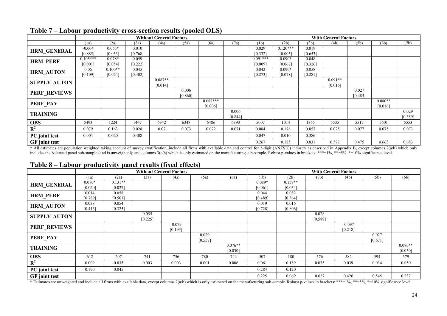|                      |            |           |         | <b>Without General Factors</b> |         |            |         | <b>With General Factors</b> |            |         |           |         |           |         |
|----------------------|------------|-----------|---------|--------------------------------|---------|------------|---------|-----------------------------|------------|---------|-----------|---------|-----------|---------|
|                      | (1a)       | (2a)      | (3a)    | (4a)                           | (5a)    | (6a)       | (7a)    | (1b)                        | (2b)       | (3b)    | (4b)      | (5b)    | (6b)      | (7b)    |
| <b>HRM GENERAL</b>   | $-0.004$   | $0.065*$  | 0.010   |                                |         |            |         | 0.029                       | $0.120***$ | 0.019   |           |         |           |         |
|                      | [0.885]    | [0.053]   | [0.768] |                                |         |            |         | [0.332]                     | [0.005]    | [0.653] |           |         |           |         |
| <b>HRM PERF</b>      | $0.105***$ | $0.078*$  | 0.059   |                                |         |            |         | $0.091***$                  | $0.090*$   | 0.048   |           |         |           |         |
|                      | [0.001]    | [0.054]   | [0.222] |                                |         |            |         | [0.009]                     | [0.067]    | [0.326] |           |         |           |         |
| <b>HRM AUTON</b>     | 0.06       | $0.100**$ | 0.045   |                                |         |            |         | 0.042                       | $0.090*$   | 0.058   |           |         |           |         |
|                      | [0.109]    | [0.024]   | [0.402] |                                |         |            |         | [0.273]                     | [0.078]    | [0.281] |           |         |           |         |
| <b>SUPPLY AUTON</b>  |            |           |         | $0.087**$                      |         |            |         |                             |            |         | $0.091**$ |         |           |         |
|                      |            |           |         | [0.014]                        |         |            |         |                             |            |         | [0.016]   |         |           |         |
| <b>PERF_REVIEWS</b>  |            |           |         |                                | 0.006   |            |         |                             |            |         |           | 0.027   |           |         |
|                      |            |           |         |                                | [0.860] |            |         |                             |            |         |           | [0.485] |           |         |
| <b>PERF PAY</b>      |            |           |         |                                |         | $0.082***$ |         |                             |            |         |           |         | $0.080**$ |         |
|                      |            |           |         |                                |         | [0.006]    |         |                             |            |         |           |         | [0.016]   |         |
| <b>TRAINING</b>      |            |           |         |                                |         |            | 0.006   |                             |            |         |           |         |           | 0.029   |
|                      |            |           |         |                                |         |            | [0.844] |                             |            |         |           |         |           | [0.359] |
| <b>OBS</b>           | 5493       | 1224      | 1467    | 6342                           | 6348    | 6486       | 6393    | 5007                        | 1014       | 1365    | 5535      | 5517    | 5601      | 5553    |
| $\mathbf{R}^2$       | 0.079      | 0.163     | 0.028   | 0.07                           | 0.073   | 0.072      | 0.071   | 0.084                       | 0.178      | 0.057   | 0.075     | 0.077   | 0.075     | 0.073   |
| PC joint test        | 0.004      | 0.020     | 0.408   |                                |         |            |         | 0.047                       | 0.010      | 0.386   |           |         |           |         |
| <b>GF</b> joint test |            |           |         |                                |         |            |         | 0.267                       | 0.125      | 0.831   | 0.577     | 0.475   | 0.663     | 0.683   |

#### **Table 7 – Labour productivity cross-section results (pooled OLS)**

\* All estimates are population weighted taking account of survey stratification, include all firms with available data and control for 2-digit (ANZSIC) industry as described in Appendix B, except columns 2(a/b) which only includes the balanced panel sub-sample (and is unweighted); and columns 3(a/b) which is only estimated on the manufacturing sub-sample. Robust p-values in brackets: \*\*\*=1%, \*\*=5%, \*=10% significance level.

#### **Table 8 – Labour productivity panel results (fixed effects)**

|                           |          |           |         | <b>Without General Factors</b> |         |           | <b>With General Factors</b> |           |         |          |         |           |
|---------------------------|----------|-----------|---------|--------------------------------|---------|-----------|-----------------------------|-----------|---------|----------|---------|-----------|
|                           | (1a)     | (2a)      | (3a)    | (4a)                           | (5a)    | (6a)      | (1b)                        | (2b)      | (3b)    | (4b)     | (5b)    | (6b)      |
| <b>HRM GENERAL</b>        | $0.070*$ | $0.131**$ |         |                                |         |           | $0.089*$                    | $0.159**$ |         |          |         |           |
|                           | [0.060]  | [0.027]   |         |                                |         |           | [0.061]                     | [0.034]   |         |          |         |           |
| <b>HRM_PERF</b>           | 0.014    | 0.058     |         |                                |         |           | 0.044                       | 0.082     |         |          |         |           |
|                           | [0.789]  | [0.501]   |         |                                |         |           | [0.489]                     | [0.364]   |         |          |         |           |
| <b>HRM_AUTON</b>          | 0.038    | 0.054     |         |                                |         |           | 0.019                       | 0.016     |         |          |         |           |
|                           | [0.413]  | [0.325]   |         |                                |         |           | [0.728]                     | [0.806]   |         |          |         |           |
| <b>SUPPLY AUTON</b>       |          |           | 0.055   |                                |         |           |                             |           | 0.028   |          |         |           |
|                           |          |           | [0.225] |                                |         |           |                             |           | [0.589] |          |         |           |
| <b>PERF REVIEWS</b>       |          |           |         | $-0.079$                       |         |           |                             |           |         | $-0.097$ |         |           |
|                           |          |           |         | [0.193]                        |         |           |                             |           |         | [0.218]  |         |           |
| PERF PAY                  |          |           |         |                                | 0.029   |           |                             |           |         |          | 0.027   |           |
|                           |          |           |         |                                | [0.557] |           |                             |           |         |          | [0.671] |           |
| <b>TRAINING</b>           |          |           |         |                                |         | $0.076**$ |                             |           |         |          |         | $0.086**$ |
|                           |          |           |         |                                |         | [0.030]   |                             |           |         |          |         | [0.030]   |
| <b>OBS</b>                | 612      | 207       | 741     | 756                            | 780     | 744       | 507                         | 180       | 576     | 582      | 594     | 579       |
| $\overline{\mathbb{R}^2}$ | 0.009    | 0.035     | 0.003   | 0.003                          | 0.001   | 0.006     | 0.061                       | 0.189     | 0.035   | 0.039    | 0.034   | 0.050     |
| PC joint test             | 0.190    | 0.045     |         |                                |         |           | 0.284                       | 0.120     |         |          |         |           |
| <b>GF</b> joint test      |          |           |         |                                |         |           | 0.225                       | 0.069     | 0.627   | 0.426    | 0.545   | 0.237     |

\* Estimates are unweighted and include all firms with available data, except columns 2(a/b) which is only estimated on the manufacturing sub-sample. Robust p-values in brackets: \*\*\*=1%, \*=5%, \*=10% significance level.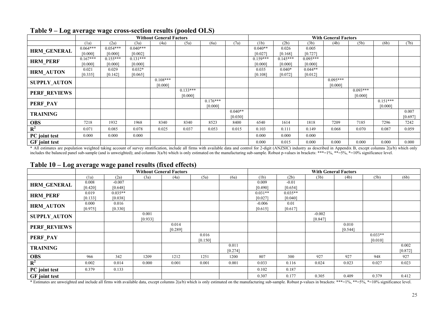| $\overline{\phantom{a}}$ | $\overline{\phantom{a}}$ | $\sim$     |            | <b>Without General Factors</b> |            |            |           | <b>With General Factors</b> |            |            |            |            |            |         |
|--------------------------|--------------------------|------------|------------|--------------------------------|------------|------------|-----------|-----------------------------|------------|------------|------------|------------|------------|---------|
|                          | (1a)                     | (2a)       | (3a)       | (4a)                           | (5a)       | (6a)       | (7a)      | (1b)                        | (2b)       | (3b)       | (4b)       | (5b)       | (6b)       | (7b)    |
| <b>HRM GENERAL</b>       | $0.064***$               | $0.054***$ | $0.040***$ |                                |            |            |           | $0.040**$                   | 0.026      | 0.005      |            |            |            |         |
|                          | [0.000]                  | [0.000]    | [0.002]    |                                |            |            |           | [0.027]                     | [0.168]    | [0.727]    |            |            |            |         |
| <b>HRM PERF</b>          | $0.167***$               | $0.155***$ | $0.131***$ |                                |            |            |           | $0.159***$                  | $0.145***$ | $0.095***$ |            |            |            |         |
|                          | [0.000]                  | [0.000]    | [0.000]    |                                |            |            |           | [0.000]                     | [0.000]    | [0.000]    |            |            |            |         |
| <b>HRM_AUTON</b>         | 0.021                    | 0.029      | $0.032*$   |                                |            |            |           | 0.035                       | $0.040*$   | $0.044**$  |            |            |            |         |
|                          | [0.335]                  | [0.142]    | [0.065]    |                                |            |            |           | [0.108]                     | [0.072]    | [0.012]    |            |            |            |         |
| <b>SUPPLY AUTON</b>      |                          |            |            | $0.108***$                     |            |            |           |                             |            |            | $0.095***$ |            |            |         |
|                          |                          |            |            | [0.000]                        |            |            |           |                             |            |            | [0.000]    |            |            |         |
| <b>PERF REVIEWS</b>      |                          |            |            |                                | $0.133***$ |            |           |                             |            |            |            | $0.093***$ |            |         |
|                          |                          |            |            |                                | [0.000]    |            |           |                             |            |            |            | [0.000]    |            |         |
| PERF PAY                 |                          |            |            |                                |            | $0.176***$ |           |                             |            |            |            |            | $0.151***$ |         |
|                          |                          |            |            |                                |            | [0.000]    |           |                             |            |            |            |            | [0.000]    |         |
| <b>TRAINING</b>          |                          |            |            |                                |            |            | $0.040**$ |                             |            |            |            |            |            | 0.007   |
|                          |                          |            |            |                                |            |            | [0.030]   |                             |            |            |            |            |            | [0.697] |
| <b>OBS</b>               | 7218                     | 1932       | 1968       | 8340                           | 8340       | 8523       | 8400      | 6540                        | 1614       | 1818       | 7209       | 7185       | 7296       | 7242    |
| $\mathbb{R}^2$           | 0.071                    | 0.085      | 0.078      | 0.025                          | 0.037      | 0.053      | 0.015     | 0.103                       | 0.111      | 0.149      | 0.068      | 0.070      | 0.087      | 0.059   |
| PC joint test            | 0.000                    | 0.000      | 0.000      |                                |            |            |           | 0.000                       | 0.000      | 0.000      |            |            |            |         |
| <b>GF</b> joint test     |                          |            |            |                                |            |            |           | 0.000                       | 0.015      | 0.000      | 0.000      | 0.000      | 0.000      | 0.000   |

#### **Table 9 – Log average wage cross-section results (pooled OLS)**

\* All estimates are population weighted taking account of survey stratification, include all firms with available data and control for 2-digit (ANZSIC) industry as described in Appendix B, except columns 2(a/b) which only includes the balanced panel sub-sample (and is unweighted); and columns 3(a/b) which is only estimated on the manufacturing sub-sample. Robust p-values in brackets: \*\*\*=1%, \*\*=5%, \*=10% significance level.

#### **Table 10 – Log average wage panel results (fixed effects)**

|                           |         |           |         | <b>Without General Factors</b> |         |         | <b>With General Factors</b> |           |          |         |           |         |
|---------------------------|---------|-----------|---------|--------------------------------|---------|---------|-----------------------------|-----------|----------|---------|-----------|---------|
|                           | (1a)    | (2a)      | (3a)    | (4a)                           | (5a)    | (6a)    | (1b)                        | (2b)      | (3b)     | (4b)    | (5b)      | (6b)    |
| <b>HRM GENERAL</b>        | 0.008   | $-0.007$  |         |                                |         |         | 0.009                       | $-0.01$   |          |         |           |         |
|                           | [0.420] | [0.648]   |         |                                |         |         | [0.490]                     | [0.654]   |          |         |           |         |
| <b>HRM_PERF</b>           | 0.019   | $0.035**$ |         |                                |         |         | $0.031**$                   | $0.035**$ |          |         |           |         |
|                           | [0.133] | [0.038]   |         |                                |         |         | [0.027]                     | [0.040]   |          |         |           |         |
| <b>HRM_AUTON</b>          | 0.000   | 0.016     |         |                                |         |         | $-0.006$                    | 0.01      |          |         |           |         |
|                           | [0.975] | [0.330]   |         |                                |         |         | [0.615]                     | [0.617]   |          |         |           |         |
| <b>SUPPLY AUTON</b>       |         |           | 0.001   |                                |         |         |                             |           | $-0.002$ |         |           |         |
|                           |         |           | [0.933] |                                |         |         |                             |           | [0.847]  |         |           |         |
| <b>PERF_REVIEWS</b>       |         |           |         | 0.014                          |         |         |                             |           |          | 0.010   |           |         |
|                           |         |           |         | [0.289]                        |         |         |                             |           |          | [0.544] |           |         |
| PERF PAY                  |         |           |         |                                | 0.016   |         |                             |           |          |         | $0.033**$ |         |
|                           |         |           |         |                                | [0.150] |         |                             |           |          |         | [0.010]   |         |
| <b>TRAINING</b>           |         |           |         |                                |         | 0.011   |                             |           |          |         |           | 0.002   |
|                           |         |           |         |                                |         | [0.274] |                             |           |          |         |           | [0.872] |
| <b>OBS</b>                | 966     | 342       | 1209    | 1212                           | 1251    | 1200    | 807                         | 300       | 927      | 927     | 948       | 927     |
| $\overline{\mathbb{R}^2}$ | 0.002   | 0.014     | 0.000   | 0.001                          | 0.001   | 0.001   | 0.033                       | 0.116     | 0.024    | 0.023   | 0.027     | 0.023   |
| PC joint test             | 0.379   | 0.133     |         |                                |         |         | 0.102                       | 0.187     |          |         |           |         |
| <b>GF</b> joint test      |         |           |         |                                |         |         | 0.307                       | 0.177     | 0.305    | 0.409   | 0.379     | 0.412   |

\* Estimates are unweighted and include all firms with available data, except columns 2(a/b) which is only estimated on the manufacturing sub-sample. Robust p-values in brackets: \*\*\*=1%, \*=5%, \*=10% significance level.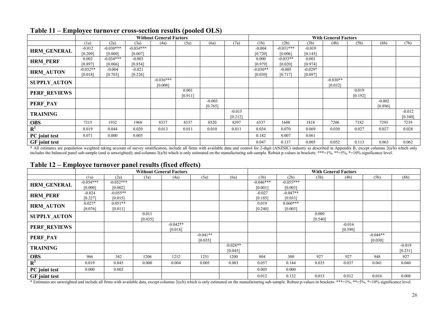|                      |            |             |             | <b>Without General Factors</b> |         |          |          | <b>With General Factors</b> |             |           |            |         |          |          |
|----------------------|------------|-------------|-------------|--------------------------------|---------|----------|----------|-----------------------------|-------------|-----------|------------|---------|----------|----------|
|                      | (1a)       | (2a)        | (3a)        | (4a)                           | (5a)    | (6a)     | (7a)     | (1b)                        | (2b)        | (3b)      | (4b)       | (5b)    | (6b)     | (7b)     |
| <b>HRM GENERAL</b>   | $-0.012$   | $-0.030***$ | $-0.034***$ |                                |         |          |          | $-0.004$                    | $-0.031***$ | $-0.019$  |            |         |          |          |
|                      | [0.209]    | [0.000]     | [0.007]     |                                |         |          |          | [0.720]                     | [0.006]     | [0.145]   |            |         |          |          |
| <b>HRM PERF</b>      | 0.002      | $-0.034***$ | $-0.003$    |                                |         |          |          | 0.000                       | $-0.033**$  | 0.001     |            |         |          |          |
|                      | [0.897]    | [0.006]     | [0.854]     |                                |         |          |          | [0.979]                     | [0.020]     | [0.974]   |            |         |          |          |
| <b>HRM AUTON</b>     | $-0.032**$ | $-0.004$    | $-0.021$    |                                |         |          |          | $-0.030**$                  | $-0.005$    | $-0.029*$ |            |         |          |          |
|                      | [0.018]    | [0.703]     | [0.226]     |                                |         |          |          | [0.030]                     | [0.717]     | [0.097]   |            |         |          |          |
| <b>SUPPLY AUTON</b>  |            |             |             | $-0.036***$                    |         |          |          |                             |             |           | $-0.030**$ |         |          |          |
|                      |            |             |             | [0.008]                        |         |          |          |                             |             |           | [0.032]    |         |          |          |
| <b>PERF_REVIEWS</b>  |            |             |             |                                | 0.001   |          |          |                             |             |           |            | 0.019   |          |          |
|                      |            |             |             |                                | [0.911] |          |          |                             |             |           |            | [0.192] |          |          |
| <b>PERF PAY</b>      |            |             |             |                                |         | $-0.003$ |          |                             |             |           |            |         | $-0.002$ |          |
|                      |            |             |             |                                |         | [0.765]  |          |                             |             |           |            |         | [0.896]  |          |
| <b>TRAINING</b>      |            |             |             |                                |         |          | $-0.015$ |                             |             |           |            |         |          | $-0.012$ |
|                      |            |             |             |                                |         |          | [0.212]  |                             |             |           |            |         |          | [0.340]  |
| <b>OBS</b>           | 7215       | 1932        | 1968        | 8337                           | 8337    | 8520     | 8397     | 6537                        | 1608        | 1818      | 7206       | 7182    | 7293     | 7239     |
| $\mathbb{R}^2$       | 0.019      | 0.044       | 0.020       | 0.013                          | 0.011   | 0.010    | 0.011    | 0.034                       | 0.070       | 0.069     | 0.030      | 0.027   | 0.027    | 0.028    |
| PC joint test        | 0.071      | 0.000       | 0.005       |                                |         |          |          | 0.182                       | 0.007       | 0.061     |            |         |          |          |
| <b>GF</b> joint test |            |             |             |                                |         |          |          | 0.047                       | 0.137       | 0.005     | 0.052      | 0.113   | 0.063    | 0.062    |

#### **Table 11 – Employee turnover cross-section results (pooled OLS)**

\* All estimates are population weighted taking account of survey stratification, include all firms with available data and control for 2-digit (ANZSIC) industry as described in Appendix B, except columns 2(a/b) which only includes the balanced panel sub-sample (and is unweighted); and columns 3(a/b) which is only estimated on the manufacturing sub-sample. Robust p-values in brackets: \*\*\*=1%, \*\*=5%, \*=10% significance level.

#### **Table 12 – Employee turnover panel results (fixed effects)**

|                      | <b>Without General Factors</b> |             |         |            |            |            |             | <b>With General Factors</b> |         |          |            |          |  |
|----------------------|--------------------------------|-------------|---------|------------|------------|------------|-------------|-----------------------------|---------|----------|------------|----------|--|
|                      | (1a)                           | (2a)        | (3a)    | (4a)       | (5a)       | (6a)       | (1b)        | (2b)                        | (3b)    | (4b)     | (5b)       | (6b)     |  |
| <b>HRM_GENERAL</b>   | $-0.054***$                    | $-0.052***$ |         |            |            |            | $-0.046***$ | $-0.055***$                 |         |          |            |          |  |
|                      | [0.000]                        | [0.002]     |         |            |            |            | [0.001]     | [0.003]                     |         |          |            |          |  |
| <b>HRM PERF</b>      | $-0.024$                       | $-0.055**$  |         |            |            |            | $-0.027$    | $-0.047**$                  |         |          |            |          |  |
|                      | [0.227]                        | [0.015]     |         |            |            |            | [0.185]     | [0.033]                     |         |          |            |          |  |
| <b>HRM_AUTON</b>     | $0.027*$                       | $0.051**$   |         |            |            |            | 0.019       | $0.060***$                  |         |          |            |          |  |
|                      | [0.076]                        | [0.011]     |         |            |            |            | [0.240]     | [0.003]                     |         |          |            |          |  |
| <b>SUPPLY AUTON</b>  |                                |             | 0.011   |            |            |            |             |                             | 0.009   |          |            |          |  |
|                      |                                |             | [0.435] |            |            |            |             |                             | [0.540] |          |            |          |  |
| <b>PERF_REVIEWS</b>  |                                |             |         | $-0.042**$ |            |            |             |                             |         | $-0.016$ |            |          |  |
|                      |                                |             |         | [0.018]    |            |            |             |                             |         | [0.399]  |            |          |  |
| PERF PAY             |                                |             |         |            | $-0.041**$ |            |             |                             |         |          | $-0.044**$ |          |  |
|                      |                                |             |         |            | [0.035]    |            |             |                             |         |          | [0.030]    |          |  |
| <b>TRAINING</b>      |                                |             |         |            |            | $-0.028**$ |             |                             |         |          |            | $-0.019$ |  |
|                      |                                |             |         |            |            | [0.045]    |             |                             |         |          |            | [0.231]  |  |
| <b>OBS</b>           | 966                            | 342         | 1206    | 1212       | 1251       | 1200       | 804         | 300                         | 927     | 927      | 948        | 927      |  |
| $\mathbb{R}^2$       | 0.019                          | 0.045       | 0.000   | 0.004      | 0.005      | 0.003      | 0.057       | 0.144                       | 0.035   | 0.037    | 0.041      | 0.040    |  |
| PC joint test        | 0.000                          | 0.002       |         |            |            |            | 0.005       | 0.000                       |         |          |            |          |  |
| <b>GF</b> joint test |                                |             |         |            |            |            | 0.012       | 0.132                       | 0.015   | 0.012    | 0.016      | 0.008    |  |

\* Estimates are unweighted and include all firms with available data, except columns 2(a/b) which is only estimated on the manufacturing sub-sample. Robust p-values in brackets: \*\*\*=1%, \*\*=5%, \*=10% significance level.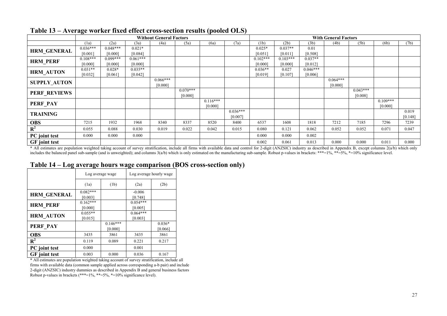|                      | <b>Without General Factors</b> |            |            |            |            |            |            | <b>With General Factors</b> |            |            |            |            |            |         |
|----------------------|--------------------------------|------------|------------|------------|------------|------------|------------|-----------------------------|------------|------------|------------|------------|------------|---------|
|                      | (1a)                           | (2a)       | (3a)       | (4a)       | (5a)       | (6a)       | (7a)       | (1b)                        | (2b)       | (3b)       | (4b)       | (5b)       | (6b)       | (7b)    |
| <b>HRM GENERAL</b>   | $0.036***$                     | $0.048***$ | $0.021*$   |            |            |            |            | $0.025*$                    | $0.037**$  | 0.01       |            |            |            |         |
|                      | [0.001]                        | [0.000]    | [0.084]    |            |            |            |            | [0.051]                     | [0.011]    | [0.508]    |            |            |            |         |
| <b>HRM_PERF</b>      | $0.108***$                     | $0.099***$ | $0.061***$ |            |            |            |            | $0.102***$                  | $0.103***$ | $0.037**$  |            |            |            |         |
|                      | [0.000]                        | [0.000]    | [0.000]    |            |            |            |            | [0.000]                     | [0.000]    | [0.012]    |            |            |            |         |
| <b>HRM_AUTON</b>     | $0.031**$                      | $0.028*$   | $0.035**$  |            |            |            |            | $0.036**$                   | 0.027      | $0.046***$ |            |            |            |         |
|                      | [0.032]                        | [0.061]    | [0.042]    |            |            |            |            | [0.019]                     | [0.107]    | [0.006]    |            |            |            |         |
| <b>SUPPLY_AUTON</b>  |                                |            |            | $0.066***$ |            |            |            |                             |            |            | $0.064***$ |            |            |         |
|                      |                                |            |            | [0.000]    |            |            |            |                             |            |            | [0.000]    |            |            |         |
| <b>PERF REVIEWS</b>  |                                |            |            |            | $0.070***$ |            |            |                             |            |            |            | $0.043***$ |            |         |
|                      |                                |            |            |            | [0.000]    |            |            |                             |            |            |            | [0.008]    |            |         |
| PERF PAY             |                                |            |            |            |            | $0.116***$ |            |                             |            |            |            |            | $0.109***$ |         |
|                      |                                |            |            |            |            | [0.000]    |            |                             |            |            |            |            | [0.000]    |         |
| <b>TRAINING</b>      |                                |            |            |            |            |            | $0.036***$ |                             |            |            |            |            |            | 0.019   |
|                      |                                |            |            |            |            |            | [0.007]    |                             |            |            |            |            |            | [0.148] |
| <b>OBS</b>           | 7215                           | 1932       | 1968       | 8340       | 8337       | 8520       | 8400       | 6537                        | 1608       | 1818       | 7212       | 7185       | 7296       | 7239    |
| $\mathbb{R}^2$       | 0.055                          | 0.088      | 0.030      | 0.019      | 0.022      | 0.042      | 0.015      | 0.080                       | 0.121      | 0.062      | 0.052      | 0.052      | 0.071      | 0.047   |
| PC joint test        | 0.000                          | 0.000      | 0.000      |            |            |            |            | 0.000                       | 0.000      | 0.002      |            |            |            |         |
| <b>GF</b> joint test |                                |            |            |            |            |            |            | 0.002                       | 0.061      | 0.013      | 0.000      | 0.000      | 0.011      | 0.000   |

#### **Table 13 – Average worker fixed effect cross-section results (pooled OLS)**

\* All estimates are population weighted taking account of survey stratification, include all firms with available data and control for 2-digit (ANZSIC) industry as described in Appendix B, except columns 2(a/b) which only includes the balanced panel sub-sample (and is unweighted); and columns  $3(a/b)$  which is only estimated on the manufacturing sub-sample. Robust p-values in brackets: \*\*\*=1%, \*\*=5%, \*=10% significance level.

#### **Table 14 – Log average hours wage comparison (BOS cross-section only)**

|                      |                       | Log average wage      | Log average hourly wage |                     |  |  |
|----------------------|-----------------------|-----------------------|-------------------------|---------------------|--|--|
|                      | (1a)                  | (1b)                  | (2a)                    | (2b)                |  |  |
| <b>HRM GENERAL</b>   | $0.082***$<br>[0.003] |                       | $-0.006$<br>[0.748]     |                     |  |  |
| <b>HRM PERF</b>      | $0.162***$<br>[0.000] |                       | $0.054***$<br>[0.005]   |                     |  |  |
| <b>HRM AUTON</b>     | $0.055**$<br>[0.015]  |                       | $0.064***$<br>[0.003]   |                     |  |  |
| PERF PAY             |                       | $0.146***$<br>[0.000] |                         | $0.036*$<br>[0.066] |  |  |
| <b>OBS</b>           | 3435                  | 3861                  | 3435                    | 3861                |  |  |
| $\mathbf{R}^2$       | 0.119                 | 0.089                 | 0.221                   | 0.217               |  |  |
| PC joint test        | 0.000                 |                       | 0.001                   |                     |  |  |
| <b>GF</b> joint test | 0.003                 | 0.000                 | 0.036                   | 0.167               |  |  |

\* All estimates are population weighted taking account of survey stratification, include all firms with available data (common sample applied across corresponding a-b pair) and include 2-digit (ANZSIC) industry dummies as described in Appendix B and general business factors Robust p-values in brackets (\*\*\*=1%, \*\*=5%, \*=10% significance level).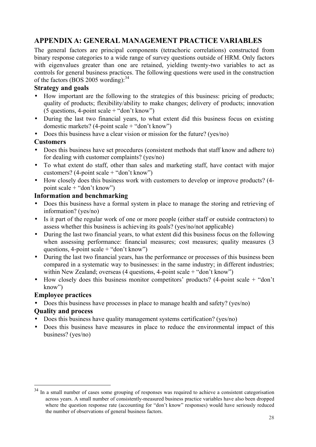### **APPENDIX A: GENERAL MANAGEMENT PRACTICE VARIABLES**

The general factors are principal components (tetrachoric correlations) constructed from binary response categories to a wide range of survey questions outside of HRM. Only factors with eigenvalues greater than one are retained, yielding twenty-two variables to act as controls for general business practices. The following questions were used in the construction of the factors (BOS 2005 wording):  $34$ 

#### **Strategy and goals**

- How important are the following to the strategies of this business: pricing of products; quality of products; flexibility/ability to make changes; delivery of products; innovation (5 questions, 4-point scale + "don't know")
- During the last two financial years, to what extent did this business focus on existing domestic markets?  $(4\text{-point scale} + \text{``don't know''})$
- Does this business have a clear vision or mission for the future? (yes/no)

#### **Customers**

- Does this business have set procedures (consistent methods that staff know and adhere to) for dealing with customer complaints? (yes/no)
- To what extent do staff, other than sales and marketing staff, have contact with major customers? (4-point scale  $+$  "don't know")
- How closely does this business work with customers to develop or improve products? (4 point scale + "don't know")

#### **Information and benchmarking**

- Does this business have a formal system in place to manage the storing and retrieving of information? (yes/no)
- Is it part of the regular work of one or more people (either staff or outside contractors) to assess whether this business is achieving its goals? (yes/no/not applicable)
- During the last two financial years, to what extent did this business focus on the following when assessing performance: financial measures; cost measures; quality measures (3) questions, 4-point scale  $+$  "don't know")
- During the last two financial years, has the performance or processes of this business been compared in a systematic way to businesses: in the same industry; in different industries; within New Zealand; overseas (4 questions, 4-point scale + "don't know")
- How closely does this business monitor competitors' products? (4-point scale + "don't know")

#### **Employee practices**

• Does this business have processes in place to manage health and safety? (yes/no)

#### **Quality and process**

- Does this business have quality management systems certification? (yes/no)
- Does this business have measures in place to reduce the environmental impact of this business? (yes/no)

In a small number of cases some grouping of responses was required to achieve a consistent categorisation across years. A small number of consistently-measured business practice variables have also been dropped where the question response rate (accounting for "don't know" responses) would have seriously reduced the number of observations of general business factors.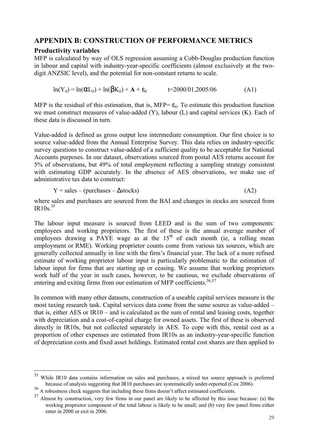#### **APPENDIX B: CONSTRUCTION OF PERFORMANCE METRICS**

#### **Productivity variables**

 $\overline{a}$ 

MFP is calculated by way of OLS regression assuming a Cobb-Douglas production function in labour and capital with industry-year-specific coefficients (almost exclusively at the twodigit ANZSIC level), and the potential for non-constant returns to scale.

 $ln(Y_{it}) = ln(\mathbf{a}L_{it}) + ln(\mathbf{b}K_{it}) + \mathbf{A} + \varepsilon_{it}$  t=2000/01,2005/06 (A1)

MFP is the residual of this estimation, that is, MFP= $\varepsilon_{it}$ . To estimate this production function we must construct measures of value-added (Y), labour (L) and capital services (K). Each of these data is discussed in turn.

Value-added is defined as gross output less intermediate consumption. Our first choice is to source value-added from the Annual Enterprise Survey. This data relies on industry-specific survey questions to construct value-added of a sufficient quality to be acceptable for National Accounts purposes. In our dataset, observations sourced from postal AES returns account for 5% of observations, but 49% of total employment reflecting a sampling strategy consistent with estimating GDP accurately. In the absence of AES observations, we make use of administrative tax data to construct:

$$
Y = sales - (purchases - Astocks)
$$
 (A2)

where sales and purchases are sourced from the BAI and changes in stocks are sourced from IR10s. 35

The labour input measure is sourced from LEED and is the sum of two components: employees and working proprietors. The first of these is the annual average number of employees drawing a PAYE wage as at the  $15<sup>th</sup>$  of each month (ie, a rolling mean employment or RME). Working proprietor counts come from various tax sources, which are generally collected annually in line with the firm's financial year. The lack of a more refined estimate of working proprietor labour input is particularly problematic to the estimation of labour input for firms that are starting up or ceasing. We assume that working proprietors work half of the year in such cases, however, to be cautious, we exclude observations of entering and exiting firms from our estimation of MFP coefficients. $36,37$ 

In common with many other datasets, construction of a useable capital services measure is the most taxing research task. Capital services data come from the same source as value-added – that is, either AES or IR10 – and is calculated as the sum of rental and leasing costs, together with depreciation and a cost-of-capital charge for owned assets. The first of these is observed directly in IR10s, but not collected separately in AES. To cope with this, rental cost as a proportion of other expenses are estimated from IR10s as an industry-year-specific function of depreciation costs and fixed asset holdings. Estimated rental cost shares are then applied to

<sup>&</sup>lt;sup>35</sup> While IR10 data contains information on sales and purchases, a mixed tax source approach is preferred because of analysis suggesting that IR10 purchases are systematically under-reported (Cox 2006).

<sup>&</sup>lt;sup>36</sup> A robustness check suggests that including these firms doesn't affect estimated coefficients.

 $37$  Almost by construction, very few firms in our panel are likely to be affected by this issue because: (a) the working proprietor component of the total labour is likely to be small; and (b) very few panel firms either enter in 2000 or exit in 2006.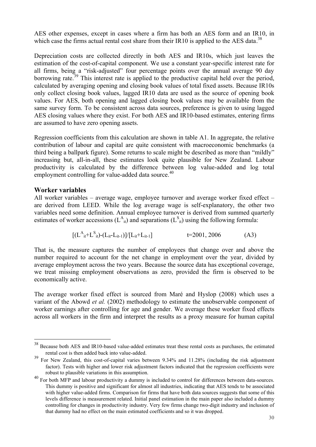AES other expenses, except in cases where a firm has both an AES form and an IR10, in which case the firms actual rental cost share from their IR10 is applied to the AES data.<sup>38</sup>

Depreciation costs are collected directly in both AES and IR10s, which just leaves the estimation of the cost-of-capital component. We use a constant year-specific interest rate for all firms, being a "risk-adjusted" four percentage points over the annual average 90 day borrowing rate.<sup>39</sup> This interest rate is applied to the productive capital held over the period, calculated by averaging opening and closing book values of total fixed assets. Because IR10s only collect closing book values, lagged IR10 data are used as the source of opening book values. For AES, both opening and lagged closing book values may be available from the same survey form. To be consistent across data sources, preference is given to using lagged AES closing values where they exist. For both AES and IR10-based estimates, entering firms are assumed to have zero opening assets.

Regression coefficients from this calculation are shown in table A1. In aggregate, the relative contribution of labour and capital are quite consistent with macroeconomic benchmarks (a third being a ballpark figure). Some returns to scale might be described as more than "mildly" increasing but, all-in-all, these estimates look quite plausible for New Zealand. Labour productivity is calculated by the difference between log value-added and log total employment controlling for value-added data source.<sup>40</sup>

#### **Worker variables**

 $\overline{a}$ 

All worker variables – average wage, employee turnover and average worker fixed effect – are derived from LEED. While the log average wage is self-explanatory, the other two variables need some definition. Annual employee turnover is derived from summed quarterly estimates of worker accessions  $(L<sup>A</sup><sub>it</sub>)$  and separations  $(L<sup>S</sup><sub>it</sub>)$  using the following formula:

$$
[(L^A{}_{it} + L^S{}_{it}) - (L_{it} - L_{it-1})]/[L_{it} + L_{it-1}] \qquad \qquad t=2001, 2006 \qquad (A3)
$$

That is, the measure captures the number of employees that change over and above the number required to account for the net change in employment over the year, divided by average employment across the two years. Because the source data has exceptional coverage, we treat missing employment observations as zero, provided the firm is observed to be economically active.

The average worker fixed effect is sourced from Maré and Hyslop (2008) which uses a variant of the Abowd *et al.* (2002) methodology to estimate the unobservable component of worker earnings after controlling for age and gender. We average these worker fixed effects across all workers in the firm and interpret the results as a proxy measure for human capital

<sup>&</sup>lt;sup>38</sup> Because both AES and IR10-based value-added estimates treat these rental costs as purchases, the estimated rental cost is then added back into value-added.

<sup>39</sup> For New Zealand, this cost-of-capital varies between 9.34% and 11.28% (including the risk adjustment factor). Tests with higher and lower risk adjustment factors indicated that the regression coefficients were robust to plausible variations in this assumption.

<sup>&</sup>lt;sup>40</sup> For both MFP and labour productivity a dummy is included to control for differences between data-sources. This dummy is positive and significant for almost all industries, indicating that AES tends to be associated with higher value-added firms. Comparison for firms that have both data sources suggests that some of this levels difference is measurement related. Initial panel estimation in the main paper also included a dummy controlling for changes in productivity industry. Very few firms change two-digit industry and inclusion of that dummy had no effect on the main estimated coefficients and so it was dropped.